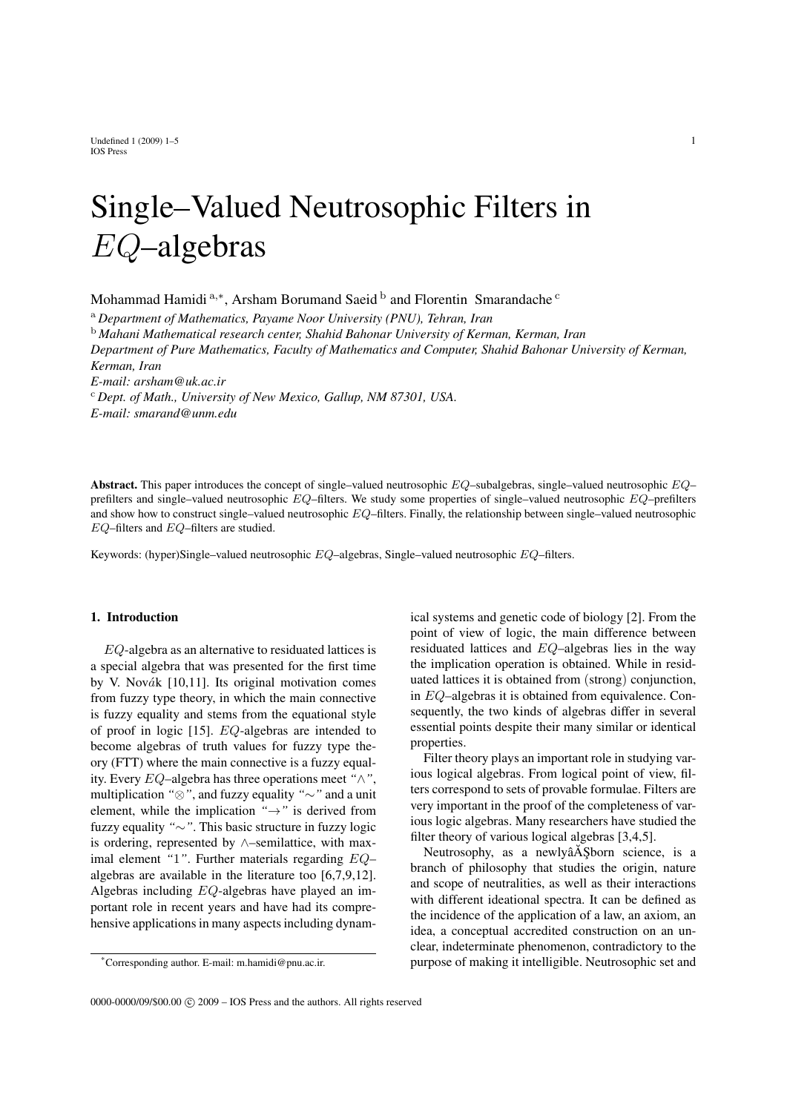Undefined  $1 (2009) 1-5$  1 IOS Press

# Single–Valued Neutrosophic Filters in EQ–algebras

Mohammad Hamidi <sup>a,\*</sup>, Arsham Borumand Saeid  $^{\rm b}$  and Florentin Smarandache  $^{\rm c}$ 

<sup>a</sup> *Department of Mathematics, Payame Noor University (PNU), Tehran, Iran*

<sup>b</sup> *Mahani Mathematical research center, Shahid Bahonar University of Kerman, Kerman, Iran Department of Pure Mathematics, Faculty of Mathematics and Computer, Shahid Bahonar University of Kerman, Kerman, Iran E-mail: arsham@uk.ac.ir* <sup>c</sup> *Dept. of Math., University of New Mexico, Gallup, NM 87301, USA. E-mail: smarand@unm.edu*

Abstract. This paper introduces the concept of single–valued neutrosophic  $EQ$ –subalgebras, single–valued neutrosophic  $EQ$ – prefilters and single–valued neutrosophic  $EQ$ –filters. We study some properties of single–valued neutrosophic  $EQ$ –prefilters and show how to construct single–valued neutrosophic  $EQ$ –filters. Finally, the relationship between single–valued neutrosophic EQ–filters and EQ–filters are studied.

Keywords: (hyper)Single–valued neutrosophic EQ–algebras, Single–valued neutrosophic EQ–filters.

#### 1. Introduction

EQ-algebra as an alternative to residuated lattices is a special algebra that was presented for the first time by V. Novák  $[10,11]$ . Its original motivation comes from fuzzy type theory, in which the main connective is fuzzy equality and stems from the equational style of proof in logic [15]. EQ-algebras are intended to become algebras of truth values for fuzzy type theory (FTT) where the main connective is a fuzzy equality. Every EQ–algebra has three operations meet *"*∧*"*, multiplication *"*⊗*"*, and fuzzy equality *"*∼*"* and a unit element, while the implication *"*→*"* is derived from fuzzy equality *"*∼*"*. This basic structure in fuzzy logic is ordering, represented by ∧–semilattice, with maximal element *"*1*"*. Further materials regarding EQ– algebras are available in the literature too [6,7,9,12]. Algebras including EQ-algebras have played an important role in recent years and have had its comprehensive applications in many aspects including dynamical systems and genetic code of biology [2]. From the point of view of logic, the main difference between residuated lattices and EQ–algebras lies in the way the implication operation is obtained. While in residuated lattices it is obtained from (strong) conjunction, in EQ–algebras it is obtained from equivalence. Consequently, the two kinds of algebras differ in several essential points despite their many similar or identical properties.

Filter theory plays an important role in studying various logical algebras. From logical point of view, filters correspond to sets of provable formulae. Filters are very important in the proof of the completeness of various logic algebras. Many researchers have studied the filter theory of various logical algebras [3,4,5].

Neutrosophy, as a newlyâA Sborn science, is a branch of philosophy that studies the origin, nature and scope of neutralities, as well as their interactions with different ideational spectra. It can be defined as the incidence of the application of a law, an axiom, an idea, a conceptual accredited construction on an unclear, indeterminate phenomenon, contradictory to the purpose of making it intelligible. Neutrosophic set and

<sup>\*</sup>Corresponding author. E-mail: m.hamidi@pnu.ac.ir.

<sup>0000-0000/09/\$00.00 © 2009 –</sup> IOS Press and the authors. All rights reserved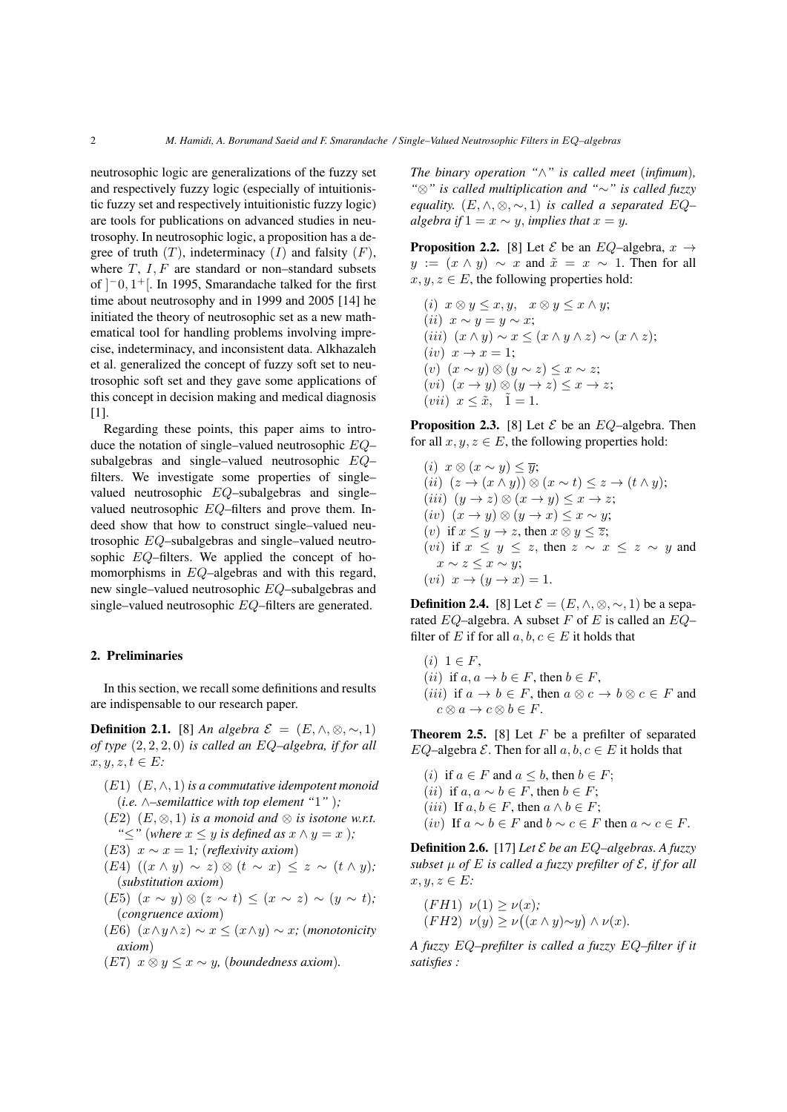neutrosophic logic are generalizations of the fuzzy set and respectively fuzzy logic (especially of intuitionistic fuzzy set and respectively intuitionistic fuzzy logic) are tools for publications on advanced studies in neutrosophy. In neutrosophic logic, a proposition has a degree of truth  $(T)$ , indeterminacy  $(I)$  and falsity  $(F)$ , where  $T$ ,  $I$ ,  $F$  are standard or non–standard subsets of  $]$ <sup>-</sup>0, 1<sup>+</sup>[. In 1995, Smarandache talked for the first time about neutrosophy and in 1999 and 2005 [14] he initiated the theory of neutrosophic set as a new mathematical tool for handling problems involving imprecise, indeterminacy, and inconsistent data. Alkhazaleh et al. generalized the concept of fuzzy soft set to neutrosophic soft set and they gave some applications of this concept in decision making and medical diagnosis [1].

Regarding these points, this paper aims to introduce the notation of single–valued neutrosophic EQ– subalgebras and single–valued neutrosophic EQ– filters. We investigate some properties of single– valued neutrosophic EQ–subalgebras and single– valued neutrosophic EQ–filters and prove them. Indeed show that how to construct single–valued neutrosophic EQ–subalgebras and single–valued neutrosophic EQ–filters. We applied the concept of homomorphisms in EQ–algebras and with this regard, new single–valued neutrosophic EQ–subalgebras and single–valued neutrosophic EQ–filters are generated.

#### 2. Preliminaries

In this section, we recall some definitions and results are indispensable to our research paper.

**Definition 2.1.** [8] *An algebra*  $\mathcal{E} = (E, \wedge, \otimes, \sim, 1)$ *of type* (2, 2, 2, 0) *is called an* EQ*–algebra, if for all*  $x, y, z, t \in E$ :

- (E1) (E, ∧, 1)*is a commutative idempotent monoid* (*i.e.* ∧*–semilattice with top element "*1*"* )*;*
- (E2)  $(E, \otimes, 1)$  *is a monoid and*  $\otimes$  *is isotone w.r.t. "*≤*"* (*where* x ≤ y *is defined as* x ∧ y = x )*;*
- (E3)  $x \sim x = 1$ *; (reflexivity axiom)*
- (E4) ((x ∧ y) ∼ z) ⊗ (t ∼ x) ≤ z ∼ (t ∧ y)*;* (*substitution axiom*)
- (E5) (x ∼ y) ⊗ (z ∼ t) ≤ (x ∼ z) ∼ (y ∼ t)*;* (*congruence axiom*)
- (E6) (x∧y∧z) ∼ x ≤ (x∧y) ∼ x*;* (*monotonicity axiom*)
- (E7) x ⊗ y ≤ x ∼ y*,* (*boundedness axiom*)*.*

*The binary operation "*∧*" is called meet* (*infimum*)*, "*⊗*" is called multiplication and "*∼*" is called fuzzy equality.*  $(E, \wedge, \otimes, \sim, 1)$  *is called a separated*  $EQ$ *algebra if*  $1 = x \sim y$ *, implies that*  $x = y$ *.* 

**Proposition 2.2.** [8] Let  $\mathcal{E}$  be an  $EQ$ –algebra,  $x \rightarrow$  $y := (x \wedge y) \sim x$  and  $\tilde{x} = x \sim 1$ . Then for all  $x, y, z \in E$ , the following properties hold:

(i)  $x \otimes y \leq x, y, \quad x \otimes y \leq x \wedge y;$ (ii)  $x \sim y = y \sim x$ ; (iii)  $(x \wedge y) \sim x \leq (x \wedge y \wedge z) \sim (x \wedge z);$  $(iv)$   $x \rightarrow x = 1$ ; (v)  $(x \sim y)$  ⊗  $(y \sim z)$  ≤  $x \sim z$ ;  $(vi)$   $(x \rightarrow y) \otimes (y \rightarrow z) \leq x \rightarrow z;$  $(vii)$   $x \leq \tilde{x}$ ,  $\tilde{1} = 1$ .

**Proposition 2.3.** [8] Let  $\mathcal{E}$  be an  $EQ$ –algebra. Then for all  $x, y, z \in E$ , the following properties hold:

(i)  $x \otimes (x \sim y) \leq \overline{y}$ ; (ii)  $(z \to (x \land y)) \otimes (x \sim t) \leq z \to (t \land y);$ (iii)  $(y \to z) \otimes (x \to y) \leq x \to z;$ (iv)  $(x \rightarrow y) \otimes (y \rightarrow x) \leq x \sim y;$ (v) if  $x \leq y \to z$ , then  $x \otimes y \leq \overline{z}$ ; (vi) if  $x \leq y \leq z$ , then  $z \sim x \leq z \sim y$  and  $x \sim z \leq x \sim y;$  $(vi)$   $x \rightarrow (y \rightarrow x) = 1$ .

**Definition 2.4.** [8] Let  $\mathcal{E} = (E, \wedge, \otimes, \sim, 1)$  be a separated  $EQ$ –algebra. A subset F of E is called an  $EQ$ – filter of E if for all  $a, b, c \in E$  it holds that

 $(i)$  1  $\in$   $F$ , (*ii*) if  $a, a \rightarrow b \in F$ , then  $b \in F$ , (*iii*) if  $a \to b \in F$ , then  $a \otimes c \to b \otimes c \in F$  and  $c \otimes a \to c \otimes b \in F$ .

**Theorem 2.5.** [8] Let  $F$  be a prefilter of separated EQ–algebra  $\mathcal E$ . Then for all  $a, b, c \in E$  it holds that

(*i*) if  $a \in F$  and  $a \leq b$ , then  $b \in F$ ; (*ii*) if  $a, a \sim b \in F$ , then  $b \in F$ ; (*iii*) If  $a, b \in F$ , then  $a \wedge b \in F$ ; (iv) If  $a \sim b \in F$  and  $b \sim c \in F$  then  $a \sim c \in F$ .

**Definition 2.6.** [17] *Let*  $\mathcal E$  *be an EQ–algebras. A fuzzy subset*  $\mu$  *of*  $E$  *is called a fuzzy prefilter of*  $\mathcal{E}$ *, if for all*  $x, y, z \in E$ 

$$
(FH1) \ \nu(1) \ge \nu(x);
$$
  

$$
(FH2) \ \nu(y) \ge \nu((x \wedge y) \sim y) \wedge \nu(x).
$$

*A fuzzy* EQ*–prefilter is called a fuzzy* EQ*–filter if it satisfies :*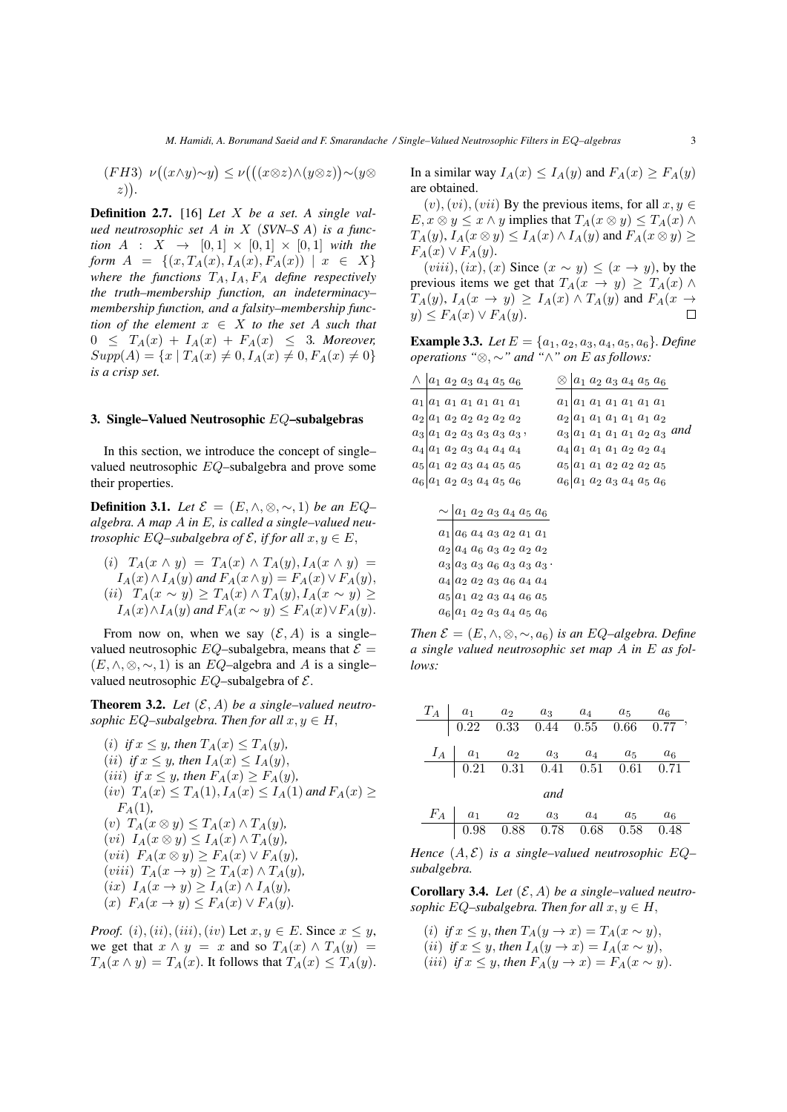$$
(FH3) \ \nu((x \land y) \sim y) \le \nu(((x \otimes z) \land (y \otimes z)) \sim (y \otimes z)).
$$

Definition 2.7. [16] *Let* X *be a set. A single valued neutrosophic set* A *in* X (*SVN–S A*) *is a function*  $A : X \to [0,1] \times [0,1] \times [0,1]$  *with the form*  $A = \{(x, T_A(x), I_A(x), F_A(x)) | x \in X\}$ *where the functions*  $T_A$ ,  $I_A$ ,  $F_A$  *define respectively the truth–membership function, an indeterminacy– membership function, and a falsity–membership function of the element*  $x \in X$  *to the set* A *such that*  $0 \leq T_A(x) + I_A(x) + F_A(x) \leq 3$ . Moreover,  $Supp(A) = \{x \mid T_A(x) \neq 0, I_A(x) \neq 0, F_A(x) \neq 0\}$ *is a crisp set.*

### 3. Single–Valued Neutrosophic EQ–subalgebras

In this section, we introduce the concept of single– valued neutrosophic EQ–subalgebra and prove some their properties.

**Definition 3.1.** *Let*  $\mathcal{E} = (E, \wedge, \otimes, \sim, 1)$  *be an*  $EQ$ – *algebra. A map* A *in* E*, is called a single–valued neutrosophic* EQ–subalgebra of  $\mathcal{E}$ , if for all  $x, y \in E$ ,

(i)  $T_A(x \wedge y) = T_A(x) \wedge T_A(y), I_A(x \wedge y) =$  $I_A(x) \wedge I_A(y)$  and  $F_A(x \wedge y) = F_A(x) \vee F_A(y)$ , (ii)  $T_A(x \sim y) \geq T_A(x) \wedge T_A(y), I_A(x \sim y) \geq$  $I_A(x) \wedge I_A(y)$  *and*  $F_A(x \sim y) \leq F_A(x) \vee F_A(y)$ .

From now on, when we say  $(\mathcal{E}, A)$  is a singlevalued neutrosophic  $EQ$ –subalgebra, means that  $\mathcal{E} =$  $(E, \wedge, \otimes, \sim, 1)$  is an EQ–algebra and A is a single– valued neutrosophic  $EQ$ –subalgebra of  $\mathcal{E}$ .

**Theorem 3.2.** Let  $(\mathcal{E}, A)$  be a single–valued neutro*sophic* EQ–subalgebra. Then for all  $x, y \in H$ ,

(i) if  $x \leq y$ , then  $T_A(x) \leq T_A(y)$ , (*ii*) *if*  $x \leq y$ , then  $I_A(x) \leq I_A(y)$ , (*iii*) *if*  $x \leq y$ *, then*  $F_A(x) \geq F_A(y)$ *,*  $(iv)$   $T_A(x) \leq T_A(1)$ ,  $I_A(x) \leq I_A(1)$  and  $F_A(x) \geq$  $F_A(1)$ , (v)  $T_A(x \otimes y) \leq T_A(x) \wedge T_A(y)$ ,  $(vi)$   $I_A(x \otimes y) \leq I_A(x) \wedge T_A(y)$ ,  $(vii)$   $F_A(x \otimes y) \geq F_A(x) \vee F_A(y)$ (viii)  $T_A(x \to y) \geq T_A(x) \wedge T_A(y)$ ,  $(ix)$   $I_A(x \rightarrow y) \geq I_A(x) \wedge I_A(y)$ ,  $(x)$   $F_A(x \rightarrow y) \leq F_A(x) \vee F_A(y)$ .

*Proof.* (i), (ii), (iii), (iv) Let  $x, y \in E$ . Since  $x \leq y$ , we get that  $x \wedge y = x$  and so  $T_A(x) \wedge T_A(y) =$  $T_A(x \wedge y) = T_A(x)$ . It follows that  $T_A(x) \leq T_A(y)$ . In a similar way  $I_A(x) \leq I_A(y)$  and  $F_A(x) \geq F_A(y)$ are obtained.

 $(v), (vi), (vii)$  By the previous items, for all  $x, y \in$  $E, x \otimes y \leq x \wedge y$  implies that  $T_A(x \otimes y) \leq T_A(x) \wedge y$  $T_A(y)$ ,  $I_A(x \otimes y) \leq I_A(x) \wedge I_A(y)$  and  $F_A(x \otimes y) \geq$  $F_A(x) \vee F_A(y).$ 

 $(viii), (ix), (x)$  Since  $(x \sim y) \le (x \rightarrow y)$ , by the previous items we get that  $T_A(x \to y) \geq T_A(x) \land$  $T_A(y)$ ,  $I_A(x \to y) \geq I_A(x) \wedge T_A(y)$  and  $F_A(x \to y)$  $y) \leq F_A(x) \vee F_A(y).$ 

**Example 3.3.** *Let*  $E = \{a_1, a_2, a_3, a_4, a_5, a_6\}$ *. Define operations "*⊗, ∼*" and "*∧*" on* E *as follows:*

| $\wedge$   $a_1$ $a_2$ $a_3$ $a_4$ $a_5$ $a_6$                                                    | ⊗ | $ a_1 a_2 a_3 a_4 a_5 a_6$        |  |  |  |
|---------------------------------------------------------------------------------------------------|---|-----------------------------------|--|--|--|
| $a_1 a_1 a_1 a_1 a_1 a_1 a_1$                                                                     |   | $a_1 a_1 a_1 a_1 a_1 a_1 a_1$     |  |  |  |
| $a_2$   $a_1$ $a_2$ $a_2$ $a_2$ $a_2$ $a_2$                                                       |   | $a_2 a_1 a_1 a_1 a_1 a_1 a_2$     |  |  |  |
| $a_3 a_1 a_2 a_3 a_3 a_3 a_3$                                                                     |   | $a_3 a_1 a_1 a_1 a_1 a_2 a_3$ and |  |  |  |
| $a_4   a_1 a_2 a_3 a_4 a_4 a_4$                                                                   |   | $a_4 a_1 a_1 a_1 a_2 a_2 a_4$     |  |  |  |
| $a_5 a_1 a_2 a_3 a_4 a_5 a_5$                                                                     |   | $a_5 a_1 a_1 a_2 a_2 a_2 a_5$     |  |  |  |
| $a_6 a_1 a_2 a_3 a_4 a_5 a_6$                                                                     |   | $a_6 a_1 a_2 a_3 a_4 a_5 a_6$     |  |  |  |
|                                                                                                   |   |                                   |  |  |  |
| $\sim$  a <sub>1</sub> a <sub>2</sub> a <sub>3</sub> a <sub>4</sub> a <sub>5</sub> a <sub>6</sub> |   |                                   |  |  |  |
| $a_1 a_6 a_4 a_3 a_2 a_1 a_1$                                                                     |   |                                   |  |  |  |
| $a_2$   $a_4$ $a_6$ $a_3$ $a_2$ $a_2$ $a_2$                                                       |   |                                   |  |  |  |
| $a_3 a_3 a_3 a_6 a_3 a_3 a_3$ .                                                                   |   |                                   |  |  |  |
| $a_4 a_2 a_2 a_3 a_6 a_4 a_4$                                                                     |   |                                   |  |  |  |
| $a_5 a_1 a_2 a_3 a_4 a_6 a_5$                                                                     |   |                                   |  |  |  |
| $a_6 a_1 a_2 a_3 a_4 a_5 a_6$                                                                     |   |                                   |  |  |  |

*Then*  $\mathcal{E} = (E, \wedge, \otimes, \sim, a_6)$  *is an EQ–algebra. Define a single valued neutrosophic set map* A *in* E *as follows:*

|  | $T_A$   $a_1$ $a_2$ $a_3$ $a_4$ $a_5$                                                                                 |     |  | $a_6$                                                                         |
|--|-----------------------------------------------------------------------------------------------------------------------|-----|--|-------------------------------------------------------------------------------|
|  |                                                                                                                       |     |  | $\begin{array}{cccccc} & 0.22 & 0.33 & 0.44 & 0.55 & 0.66 & 0.77 \end{array}$ |
|  | $I_A$ $a_1$ $a_2$ $a_3$ $a_4$ $a_5$ $a_6$                                                                             |     |  |                                                                               |
|  | $\begin{array}{ c c c c c c } \hline \rule{0.2cm}{0.21} & 0.21 & 0.31 & 0.41 & 0.51 & 0.61 & 0.71 \hline \end{array}$ |     |  |                                                                               |
|  |                                                                                                                       | and |  |                                                                               |
|  | $F_A$   $a_1$ $a_2$ $a_3$ $a_4$ $a_5$                                                                                 |     |  | $a_6$                                                                         |
|  | $\vert$ 0.98 0.88 0.78 0.68 0.58 0.48                                                                                 |     |  |                                                                               |

*Hence*  $(A, \mathcal{E})$  *is a single–valued neutrosophic*  $EQ$ *subalgebra.*

**Corollary 3.4.** Let  $(\mathcal{E}, A)$  be a single–valued neutro*sophic* EQ–subalgebra. Then for all  $x, y \in H$ ,

- (*i*) *if*  $x \leq y$ , *then*  $T_A(y \to x) = T_A(x \sim y)$ ,
- (*ii*) *if*  $x \leq y$ , *then*  $I_A(y \to x) = I_A(x \sim y)$ ,
- (*iii*) *if*  $x \leq y$ , *then*  $F_A(y \to x) = F_A(x \sim y)$ .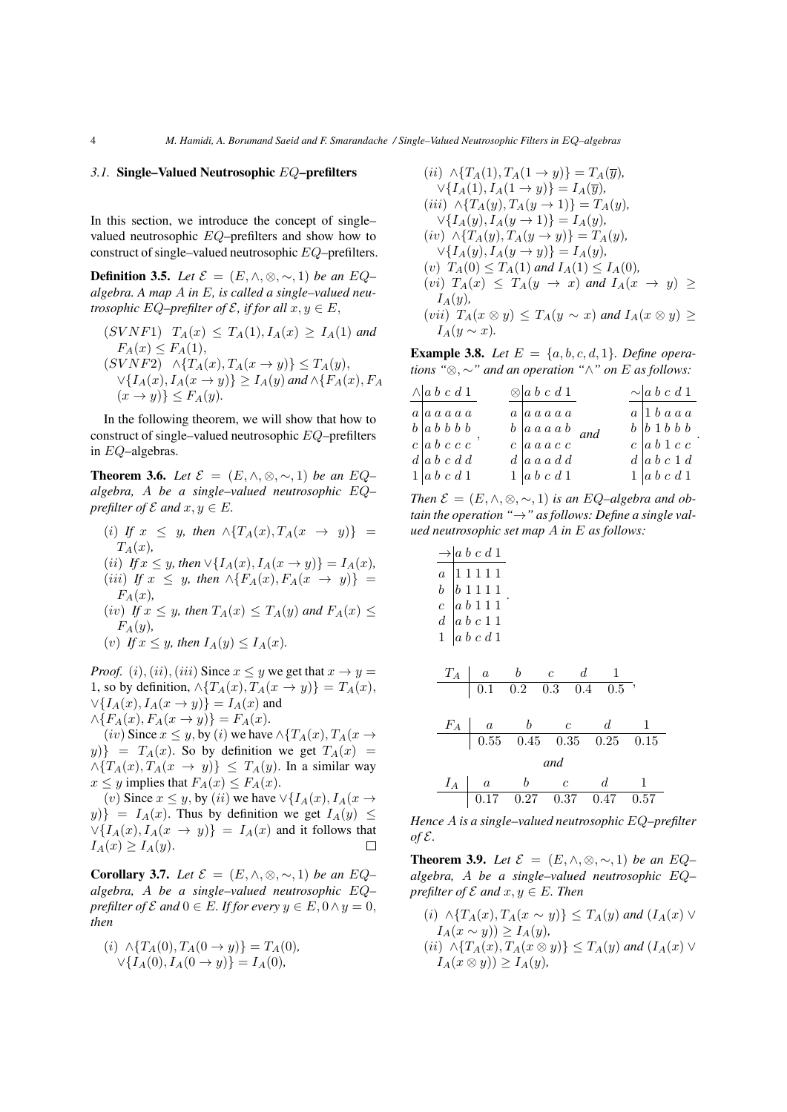#### *3.1.* Single–Valued Neutrosophic EQ–prefilters

In this section, we introduce the concept of single– valued neutrosophic EQ–prefilters and show how to construct of single–valued neutrosophic EQ–prefilters.

**Definition 3.5.** *Let*  $\mathcal{E} = (E, \wedge, \otimes, \sim, 1)$  *be an*  $EQ$ – *algebra. A map* A *in* E*, is called a single–valued neutrosophic* EQ–prefilter of  $\mathcal{E}$ , if for all  $x, y \in E$ ,

$$
(SVNF1) TA(x) \le TA(1), IA(x) \ge IA(1) and
$$
  
\n
$$
FA(x) \le FA(1),
$$
  
\n
$$
(SVNF2) \land \{TA(x), TA(x \to y)\} \le TA(y),
$$
  
\n
$$
\lor \{IA(x), IA(x \to y)\} \ge IA(y) and \land \{FA(x), FA(x \to y)\} \le FA(y).
$$

In the following theorem, we will show that how to construct of single–valued neutrosophic EQ–prefilters in EQ–algebras.

**Theorem 3.6.** *Let*  $\mathcal{E} = (E, \wedge, \otimes, \sim, 1)$  *be an*  $EQ$ – *algebra,* A *be a single–valued neutrosophic* EQ*– prefilter of*  $\mathcal E$  *and*  $x, y \in E$ *.* 

(i) *If*  $x \leq y$ , then  $\land \{T_A(x), T_A(x \rightarrow y)\}$  =  $T_A(x)$ (*ii*) *If*  $x \leq y$ *, then*  $\vee$ { $I_A(x)$ *,*  $I_A(x \to y)$ } =  $I_A(x)$ *,* (*iii*) *If*  $x \leq y$ *, then*  $\land \{F_A(x), F_A(x \rightarrow y)\}$  =  $F_A(x)$ , (iv) If  $x \leq y$ , then  $T_A(x) \leq T_A(y)$  and  $F_A(x) \leq$  $F_A(y)$ ,

(v) If 
$$
x \leq y
$$
, then  $I_A(y) \leq I_A(x)$ .

*Proof.* (i), (ii), (iii) Since  $x \leq y$  we get that  $x \to y$ 1, so by definition,  $\wedge$ { $T_A(x)$ ,  $T_A(x \rightarrow y)$ } =  $T_A(x)$ ,  $\forall \{I_A(x), I_A(x \rightarrow y)\} = I_A(x)$  and  $\wedge \{F_A(x), F_A(x \to y)\} = F_A(x).$ 

(iv) Since  $x \leq y$ , by (i) we have  $\land$  { $T_A(x)$ ,  $T_A(x \rightarrow$  $y$ } =  $T_A(x)$ . So by definition we get  $T_A(x)$  =  $\wedge \{T_A(x), T_A(x \rightarrow y)\} \leq T_A(y)$ . In a similar way  $x \leq y$  implies that  $F_A(x) \leq F_A(x)$ .

(v) Since  $x \leq y$ , by (ii) we have  $\forall \{I_A(x), I_A(x) \}$  $y$ } =  $I_A(x)$ . Thus by definition we get  $I_A(y) \leq$  $\forall \{I_A(x), I_A(x \rightarrow y)\} = I_A(x)$  and it follows that  $I_A(x) \geq I_A(y)$ .  $\Box$ 

**Corollary 3.7.** *Let*  $\mathcal{E} = (E, \wedge, \otimes, \sim, 1)$  *be an*  $EQ$ – *algebra,* A *be a single–valued neutrosophic* EQ*– prefilter of*  $\mathcal E$  *and*  $0 \in E$ *. If for every*  $y \in E$ ,  $0 \wedge y = 0$ , *then*

$$
(i) \ \wedge \{T_A(0), T_A(0 \to y)\} = T_A(0),
$$
  

$$
\vee \{I_A(0), I_A(0 \to y)\} = I_A(0),
$$

$$
(ii) \wedge \{T_A(1), T_A(1 \rightarrow y)\} = T_A(\overline{y}),
$$
  
\n
$$
\vee \{I_A(1), I_A(1 \rightarrow y)\} = I_A(\overline{y}),
$$
  
\n
$$
(iii) \wedge \{T_A(y), T_A(y \rightarrow 1)\} = T_A(y),
$$
  
\n
$$
\vee \{I_A(y), I_A(y \rightarrow 1)\} = I_A(y),
$$
  
\n
$$
(iv) \wedge \{T_A(y), T_A(y \rightarrow y)\} = T_A(y),
$$
  
\n
$$
\vee \{I_A(y), I_A(y \rightarrow y)\} = I_A(y),
$$
  
\n
$$
(v) T_A(0) \le T_A(1) \text{ and } I_A(1) \le I_A(0),
$$
  
\n
$$
(vi) T_A(x) \le T_A(y \rightarrow x) \text{ and } I_A(x \rightarrow y) \ge I_A(y),
$$
  
\n
$$
(vii) T_A(x \otimes y) \le T_A(y \sim x) \text{ and } I_A(x \otimes y) \ge I_A(y \sim x).
$$

**Example 3.8.** *Let*  $E = \{a, b, c, d, 1\}$ *. Define operations "*⊗, ∼*" and an operation "*∧*" on* E *as follows:*

| $\wedge$ a b c d 1                          |  | $\otimes$ a b c d 1                         |  | $\sim$ a b c d 1                            |
|---------------------------------------------|--|---------------------------------------------|--|---------------------------------------------|
| $a \mid a \mid a \mid a \mid a$             |  | $a \mid a \ a \ a \ a \ a$                  |  | $a \vert 1 b a a a$                         |
| $b \vert a b b b b$                         |  | $b \mid a \mid a \mid a \mid b \mid$ and    |  | $b \vert b \vert 1 b \vert b \vert b$       |
| $c \vert a \vert b \vert c \vert c \vert c$ |  | $c \vert a \vert a \vert a \vert c \vert c$ |  | $c \vert a \vert b \vert 1 \vert c \vert c$ |
| $d \mid a \mid b \mid c \mid d \mid d$      |  | $d \mid a \ a \ a \ d \ d$                  |  | $d \mid a \mid b \mid c \mid 1 \mid d$      |
| $1 a\;b\;c\;d\;1$                           |  | $1 a\,b\,c\,d\,1$                           |  | $1 a\,b\,c\,d\,1$                           |

*Then*  $\mathcal{E} = (E, \wedge, \otimes, \sim, 1)$  *is an EQ–algebra and obtain the operation "*→*" as follows: Define a single valued neutrosophic set map* A *in* E *as follows:*

|                  | $\rightarrow  a\;b\;c\;d\;1$                                                                                                                                                       |                                           |                                        |                       |      |
|------------------|------------------------------------------------------------------------------------------------------------------------------------------------------------------------------------|-------------------------------------------|----------------------------------------|-----------------------|------|
| $\boldsymbol{b}$ | $a \mid 11111$<br>$ b\;1\;1\;1\;1$<br>$\begin{array}{c c c c} c & a & b & 1 & 1 & 1 \\ \hline c & a & b & 1 & 1 & 1 \\ d & b & c & 1 & 1 & 1 \\ 1 & a & b & c & d & 1 \end{array}$ |                                           |                                        |                       |      |
| $T_A$            | $\it a$<br>0.1                                                                                                                                                                     | $\boldsymbol{b}$<br>$\overline{c}$<br>0.2 | $\overline{d}$<br>$\boxed{0.3}$<br>0.4 | $\overline{1}$<br>0.5 |      |
| $F_A$            | $\boldsymbol{a}$                                                                                                                                                                   | $\boldsymbol{b}$                          | $\overline{c}$                         | $\overline{d}$        | 1    |
|                  |                                                                                                                                                                                    | $0.55$ $0.45$                             | $\overline{\phantom{0}}0.35$           | 0.25                  | 0.15 |
|                  |                                                                                                                                                                                    |                                           | and                                    |                       |      |
| $I_A$            | $\boldsymbol{a}$                                                                                                                                                                   | $\boldsymbol{b}$                          | $\mathfrak{c}$                         | $\overline{d}$        | 1    |
|                  | 0.17                                                                                                                                                                               | 0.27                                      | 0.37                                   | $-0.47$               | 0.57 |

*Hence* A *is a single–valued neutrosophic* EQ*–prefilter*  $of \mathcal{E}.$ 

**Theorem 3.9.** *Let*  $\mathcal{E} = (E, \wedge, \otimes, \sim, 1)$  *be an*  $EQ$ – *algebra,* A *be a single–valued neutrosophic* EQ*– prefilter of*  $\mathcal E$  *and*  $x, y \in E$ *. Then* 

 $(i) \wedge \{T_A(x), T_A(x \sim y)\}$  ≤  $T_A(y)$  *and*  $(I_A(x)$  ∨  $I_A(x \sim y)$ ) ≥  $I_A(y)$ , (*ii*)  $\land$ {T<sub>A</sub>(x),T<sub>A</sub>(x ⊗ y)} ≤ T<sub>A</sub>(y) and (I<sub>A</sub>(x) ∨  $I_A(x \otimes y) \geq I_A(y)$ ,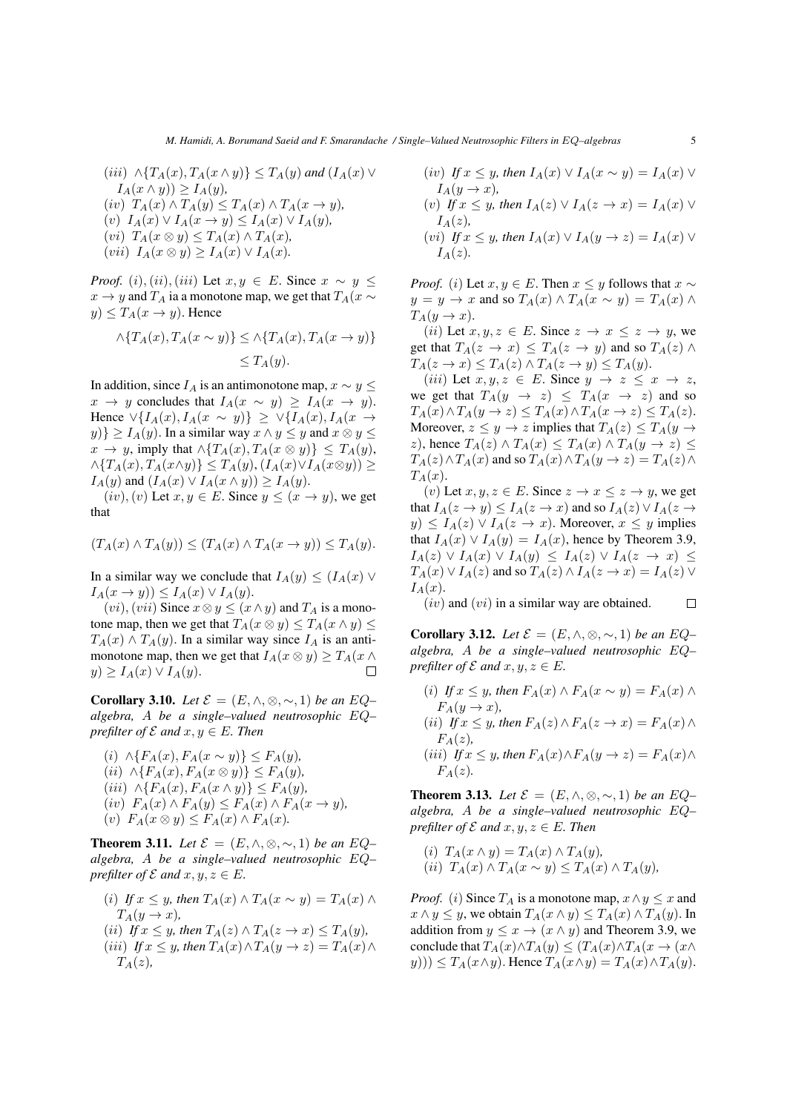$$
(iii) \land \{T_A(x), T_A(x \land y)\} \le T_A(y) \text{ and } (I_A(x) \lor I_A(x \land y)) \ge I_A(y),
$$
  
\n
$$
(iv) T_A(x) \land T_A(y) \le T_A(x) \land T_A(x \to y),
$$
  
\n
$$
(v) I_A(x) \lor I_A(x \to y) \le I_A(x) \lor I_A(y),
$$
  
\n
$$
(vi) T_A(x \otimes y) \le T_A(x) \land T_A(x),
$$
  
\n
$$
(vii) I_A(x \otimes y) \ge I_A(x) \lor I_A(x).
$$

*Proof.* (i), (ii), (iii) Let  $x, y \in E$ . Since  $x \sim y \leq$  $x \rightarrow y$  and  $T_A$  ia a monotone map, we get that  $T_A(x \sim y)$  $y) \leq T_A(x \to y)$ . Hence

$$
\wedge \{T_A(x), T_A(x \sim y)\} \le \wedge \{T_A(x), T_A(x \to y)\}
$$
  

$$
\le T_A(y).
$$

In addition, since  $I_A$  is an antimonotone map,  $x \sim y \leq$  $x \to y$  concludes that  $I_A(x \sim y) \geq I_A(x \to y)$ . Hence  $\forall \{I_A(x), I_A(x \sim y)\} \geq \forall \{I_A(x), I_A(x \rightarrow y)\}$  $y$ }  $\geq I_A(y)$ . In a similar way  $x \wedge y \leq y$  and  $x \otimes y \leq y$  $x \to y$ , imply that  $\land$ { $T_A(x), T_A(x \otimes y)$ }  $\leq T_A(y)$ ,  $\wedge \{T_A(x), T_A(x \wedge y)\} \leq T_A(y), (I_A(x) \vee I_A(x \otimes y)) \geq$  $I_A(y)$  and  $(I_A(x) \vee I_A(x \wedge y)) \geq I_A(y)$ .

 $(iv), (v)$  Let  $x, y \in E$ . Since  $y \leq (x \rightarrow y)$ , we get that

$$
(T_A(x) \wedge T_A(y)) \le (T_A(x) \wedge T_A(x \to y)) \le T_A(y).
$$

In a similar way we conclude that  $I_A(y) \leq (I_A(x) \vee$  $I_A(x \to y)) \leq I_A(x) \vee I_A(y).$ 

 $(vi)$ ,  $(vii)$  Since  $x \otimes y \leq (x \wedge y)$  and  $T_A$  is a monotone map, then we get that  $T_A(x \otimes y) \leq T_A(x \wedge y) \leq$  $T_A(x) \wedge T_A(y)$ . In a similar way since  $I_A$  is an antimonotone map, then we get that  $I_A(x \otimes y) \geq T_A(x \wedge y)$  $y) \geq I_A(x) \vee I_A(y).$  $\Box$ 

**Corollary 3.10.** *Let*  $\mathcal{E} = (E, \wedge, \otimes, \sim, 1)$  *be an*  $EQ$ – *algebra,* A *be a single–valued neutrosophic* EQ*– prefilter of*  $\mathcal E$  *and*  $x, y \in E$ *. Then* 

(i)  $\land$ {F<sub>A</sub>(x), F<sub>A</sub>(x ∼ y)} ≤ F<sub>A</sub>(y),  $(ii) \land \{F_A(x), F_A(x \otimes y)\} \leq F_A(y)$  $(iii) \; \wedge \{F_A(x), F_A(x \wedge y)\} \leq F_A(y)$  $(iv)$   $F_A(x) \wedge F_A(y) \leq F_A(x) \wedge F_A(x \rightarrow y)$ (v)  $F_A(x \otimes y) \leq F_A(x) \wedge F_A(x)$ .

**Theorem 3.11.** *Let*  $\mathcal{E} = (E, \wedge, \otimes, \sim, 1)$  *be an*  $EQ$ – *algebra,* A *be a single–valued neutrosophic* EQ*– prefilter of*  $\mathcal E$  *and*  $x, y, z \in E$ *.* 

- (i) *If*  $x \leq y$ *, then*  $T_A(x) \wedge T_A(x \sim y) = T_A(x) \wedge$  $T_A(y \to x)$ , (*ii*) *If*  $x \leq y$ *, then*  $T_A(z) \wedge T_A(z \to x) \leq T_A(y)$ *,* (iii) *If*  $x \leq y$ , then  $T_A(x) \wedge T_A(y \to z) = T_A(x) \wedge$
- $T_A(z)$ ,

(iv) If 
$$
x \le y
$$
, then  $I_A(x) \vee I_A(x \sim y) = I_A(x) \vee I_A(y \to x)$ ,  
(v) If  $x \le y$ , then  $I_A(z) \vee I_A(z \to x) = I_A(x) \vee I_A(z)$ ,

$$
(vi) If x \le y, then IA(x) \vee IA(y \to z) = IA(x) \vee IA(z).
$$

*Proof.* (*i*) Let  $x, y \in E$ . Then  $x \leq y$  follows that  $x \sim$  $y = y \rightarrow x$  and so  $T_A(x) \land T_A(x \sim y) = T_A(x) \land$  $T_A(y \to x)$ .

(*ii*) Let  $x, y, z \in E$ . Since  $z \to x \leq z \to y$ , we get that  $T_A(z \to x) \leq T_A(z \to y)$  and so  $T_A(z) \land$  $T_A(z \to x) \leq T_A(z) \wedge T_A(z \to y) \leq T_A(y).$ 

(*iii*) Let  $x, y, z \in E$ . Since  $y \to z \leq x \to z$ , we get that  $T_A(y \rightarrow z) \leq T_A(x \rightarrow z)$  and so  $T_A(x) \wedge T_A(y \to z) \leq T_A(x) \wedge T_A(x \to z) \leq T_A(z).$ Moreover,  $z \leq y \to z$  implies that  $T_A(z) \leq T_A(y \to z)$ z), hence  $T_A(z) \wedge T_A(x) \leq T_A(x) \wedge T_A(y \to z) \leq$  $T_A(z) \wedge T_A(x)$  and so  $T_A(x) \wedge T_A(y \to z) = T_A(z) \wedge T_A(z)$  $T_A(x)$ .

(v) Let  $x, y, z \in E$ . Since  $z \to x \leq z \to y$ , we get that  $I_A(z \to y) \leq I_A(z \to x)$  and so  $I_A(z) \vee I_A(z \to x)$  $y) \leq I_A(z) \vee I_A(z \to x)$ . Moreover,  $x \leq y$  implies that  $I_A(x) \vee I_A(y) = I_A(x)$ , hence by Theorem 3.9,  $I_A(z) \vee I_A(x) \vee I_A(y) \leq I_A(z) \vee I_A(z \rightarrow x)$  $T_A(x) \vee I_A(z)$  and so  $T_A(z) \wedge I_A(z \to x) = I_A(z) \vee I_A(z)$  $I_A(x)$ .

 $(iv)$  and  $(vi)$  in a similar way are obtained.  $\Box$ 

**Corollary 3.12.** *Let*  $\mathcal{E} = (E, \wedge, \otimes, \sim, 1)$  *be an*  $EQ$ – *algebra,* A *be a single–valued neutrosophic* EQ*– prefilter of*  $\mathcal E$  *and*  $x, y, z \in E$ *.* 

(i) *If*  $x \leq y$ , then  $F_A(x) \wedge F_A(x \sim y) = F_A(x) \wedge$  $F_A(y \to x)$ , (ii) *If*  $x \leq y$ *, then*  $F_A(z) \wedge F_A(z \to x) = F_A(x) \wedge$  $F_A(z)$ , (iii) *If*  $x \leq y$ , then  $F_A(x) \wedge F_A(y \to z) = F_A(x) \wedge$  $F_A(z)$ .

**Theorem 3.13.** *Let*  $\mathcal{E} = (E, \wedge, \otimes, \sim, 1)$  *be an*  $EQ$ – *algebra,* A *be a single–valued neutrosophic* EQ*– prefilter of*  $\mathcal E$  *and*  $x, y, z \in E$ *. Then* 

(i)  $T_A(x \wedge y) = T_A(x) \wedge T_A(y)$ ,  $(ii)$   $T_A(x)$  ∧  $T_A(x \sim y)$  <  $T_A(x)$  ∧  $T_A(y)$ ,

*Proof.* (i) Since  $T_A$  is a monotone map,  $x \wedge y \leq x$  and  $x \wedge y \leq y$ , we obtain  $T_A(x \wedge y) \leq T_A(x) \wedge T_A(y)$ . In addition from  $y \leq x \rightarrow (x \land y)$  and Theorem 3.9, we conclude that  $T_A(x) \wedge T_A(y) \le (T_A(x) \wedge T_A(x \rightarrow (x \wedge$  $(y))$ )  $\leq T_A(x \wedge y)$ . Hence  $T_A(x \wedge y) = T_A(x) \wedge T_A(y)$ .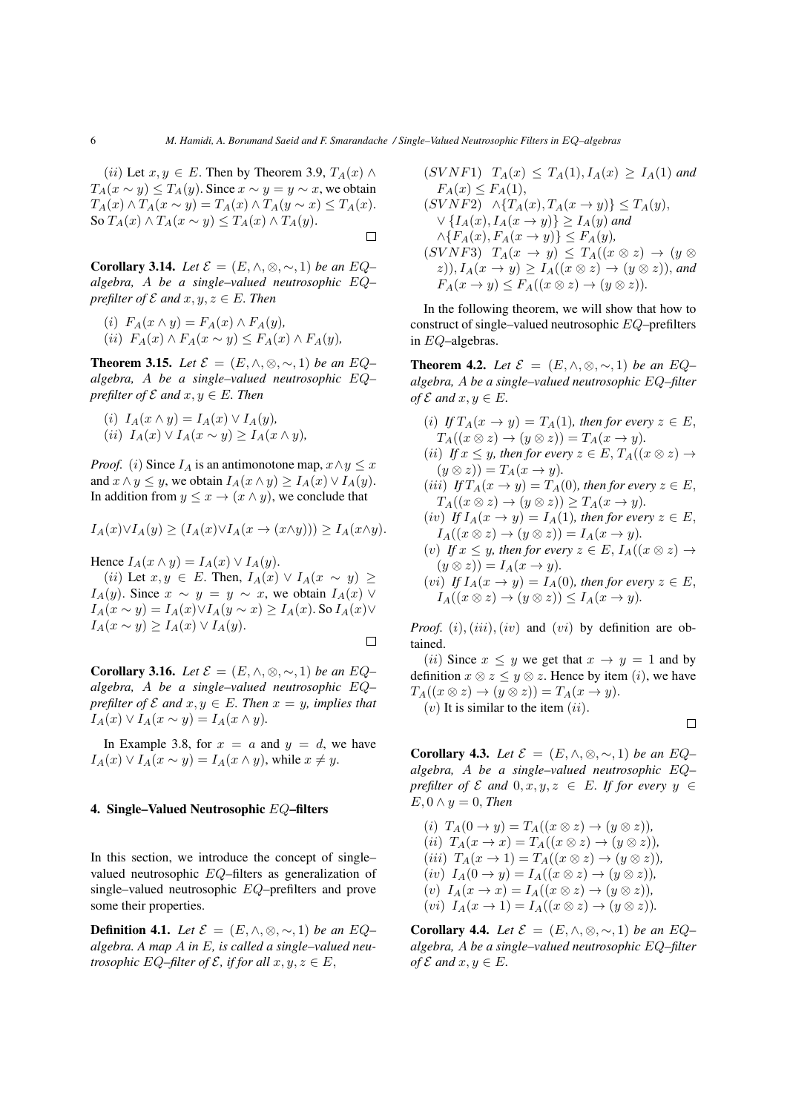(*ii*) Let  $x, y \in E$ . Then by Theorem 3.9,  $T_A(x) \wedge$  $T_A(x \sim y) \leq T_A(y)$ . Since  $x \sim y = y \sim x$ , we obtain  $T_A(x) \wedge T_A(x \sim y) = T_A(x) \wedge T_A(y \sim x) \leq T_A(x).$ So  $T_A(x) \wedge T_A(x \sim y) \leq T_A(x) \wedge T_A(y)$ .  $\Box$ 

**Corollary 3.14.** *Let*  $\mathcal{E} = (E, \wedge, \otimes, \sim, 1)$  *be an*  $EQ$ – *algebra,* A *be a single–valued neutrosophic* EQ*– prefilter of*  $\mathcal E$  *and*  $x, y, z \in E$ *. Then* 

(i) 
$$
F_A(x \wedge y) = F_A(x) \wedge F_A(y)
$$
,  
(ii)  $F_A(x) \wedge F_A(x \sim y) \leq F_A(x) \wedge F_A(y)$ ,

**Theorem 3.15.** *Let*  $\mathcal{E} = (E, \wedge, \otimes, \sim, 1)$  *be an*  $EQ$ – *algebra,* A *be a single–valued neutrosophic* EQ*– prefilter of*  $\mathcal E$  *and*  $x, y \in E$ *. Then* 

(i) 
$$
I_A(x \wedge y) = I_A(x) \vee I_A(y)
$$
,  
(ii)  $I_A(x) \vee I_A(x \sim y) \ge I_A(x \wedge y)$ ,

*Proof.* (i) Since  $I_A$  is an antimonotone map,  $x \wedge y \leq x$ and  $x \wedge y \leq y$ , we obtain  $I_A(x \wedge y) \geq I_A(x) \vee I_A(y)$ . In addition from  $y \leq x \to (x \land y)$ , we conclude that

$$
I_A(x)\vee I_A(y)\geq (I_A(x)\vee I_A(x\to (x\wedge y)))\geq I_A(x\wedge y).
$$

Hence  $I_A(x \wedge y) = I_A(x) \vee I_A(y)$ .

(ii) Let  $x, y \in E$ . Then,  $I_A(x) \vee I_A(x \sim y) \ge$  $I_A(y)$ . Since  $x \sim y = y \sim x$ , we obtain  $I_A(x)$  ∨  $I_A(x \sim y) = I_A(x) \vee I_A(y \sim x) \geq I_A(x)$ . So  $I_A(x) \vee I_A(x)$  $I_A(x \sim y) \geq I_A(x) \vee I_A(y).$  $\Box$ 

**Corollary 3.16.** *Let*  $\mathcal{E} = (E, \wedge, \otimes, \sim, 1)$  *be an*  $EQ$ – *algebra,* A *be a single–valued neutrosophic* EQ*– prefilter of*  $\mathcal E$  *and*  $x, y \in E$ *. Then*  $x = y$ *, implies that*  $I_A(x) \vee I_A(x \sim y) = I_A(x \wedge y)$ .

In Example 3.8, for  $x = a$  and  $y = d$ , we have  $I_A(x) \vee I_A(x \sim y) = I_A(x \wedge y)$ , while  $x \neq y$ .

### 4. Single–Valued Neutrosophic EQ–filters

In this section, we introduce the concept of single– valued neutrosophic EQ–filters as generalization of single–valued neutrosophic EQ–prefilters and prove some their properties.

**Definition 4.1.** *Let*  $\mathcal{E} = (E, \wedge, \otimes, \sim, 1)$  *be an*  $EQ$ – *algebra. A map* A *in* E*, is called a single–valued neutrosophic*  $EQ$ –filter of  $\mathcal{E}$ , if for all  $x, y, z \in E$ ,

$$
(SVNF1) T_A(x) \le T_A(1), I_A(x) \ge I_A(1) \text{ and}
$$
  
\n
$$
F_A(x) \le F_A(1),
$$
  
\n
$$
(SVNF2) \land \{T_A(x), T_A(x \to y)\} \le T_A(y),
$$
  
\n
$$
\lor \{I_A(x), I_A(x \to y)\} \ge I_A(y) \text{ and}
$$
  
\n
$$
\land \{F_A(x), F_A(x \to y)\} \le F_A(y),
$$
  
\n
$$
(SVNF3) T_A(x \to y) \le T_A((x \otimes z) \to (y \otimes z)),
$$
  
\n
$$
F_A(x \to y) \le F_A((x \otimes z) \to (y \otimes z)).
$$

In the following theorem, we will show that how to construct of single–valued neutrosophic EQ–prefilters in EQ–algebras.

**Theorem 4.2.** *Let*  $\mathcal{E} = (E, \wedge, \otimes, \sim, 1)$  *be an*  $EQ$ – *algebra,* A *be a single–valued neutrosophic* EQ*–filter of*  $\mathcal{E}$  *and*  $x, y \in E$ *.* 

(i) *If*  $T_A(x \to y) = T_A(1)$ *, then for every*  $z \in E$ *,*  $T_A((x \otimes z) \rightarrow (y \otimes z)) = T_A(x \rightarrow y).$ (*ii*) *If*  $x \leq y$ *, then for every*  $z \in E$ ,  $T_A((x \otimes z) \rightarrow$  $(y \otimes z)) = T_A(x \rightarrow y)$ . (*iii*) *If*  $T_A(x \to y) = T_A(0)$ *, then for every*  $z \in E$ *,*  $T_A((x \otimes z) \to (y \otimes z)) \geq T_A(x \to y).$ (iv) If  $I_A(x \to y) = I_A(1)$ , then for every  $z \in E$ ,  $I_A((x \otimes z) \rightarrow (y \otimes z)) = I_A(x \rightarrow y).$ (v) If  $x \leq y$ , then for every  $z \in E$ ,  $I_A((x \otimes z) \rightarrow$  $(y \otimes z)) = I_A(x \to y).$ 

$$
(vi) If I_A(x \to y) = I_A(0), then for every z \in E,
$$
  
\n
$$
I_A((x \otimes z) \to (y \otimes z)) \le I_A(x \to y).
$$

*Proof.* (i), (iii), (iv) and (vi) by definition are obtained.

(*ii*) Since  $x \leq y$  we get that  $x \to y = 1$  and by definition  $x \otimes z \leq y \otimes z$ . Hence by item (*i*), we have  $T_A((x \otimes z) \to (y \otimes z)) = T_A(x \to y).$  $(v)$  It is similar to the item  $(ii)$ .

$$
\Box
$$

**Corollary 4.3.** *Let*  $\mathcal{E} = (E, \wedge, \otimes, \sim, 1)$  *be an*  $EQ$ – *algebra,* A *be a single–valued neutrosophic* EQ*– prefilter of*  $\mathcal E$  *and*  $0, x, y, z \in E$ *. If for every*  $y \in E$  $E, 0 \wedge y = 0$ , *Then* 

(i) 
$$
T_A(0 \rightarrow y) = T_A((x \otimes z) \rightarrow (y \otimes z)),
$$
  
\n(ii)  $T_A(x \rightarrow x) = T_A((x \otimes z) \rightarrow (y \otimes z)),$   
\n(iii)  $T_A(x \rightarrow 1) = T_A((x \otimes z) \rightarrow (y \otimes z)),$   
\n(iv)  $I_A(0 \rightarrow y) = I_A((x \otimes z) \rightarrow (y \otimes z)),$   
\n(v)  $I_A(x \rightarrow x) = I_A((x \otimes z) \rightarrow (y \otimes z)),$   
\n(vi)  $I_A(x \rightarrow 1) = I_A((x \otimes z) \rightarrow (y \otimes z)).$ 

**Corollary 4.4.** *Let*  $\mathcal{E} = (E, \wedge, \otimes, \sim, 1)$  *be an*  $EQ$ – *algebra,* A *be a single–valued neutrosophic* EQ*–filter of*  $\mathcal{E}$  *and*  $x, y \in E$ *.*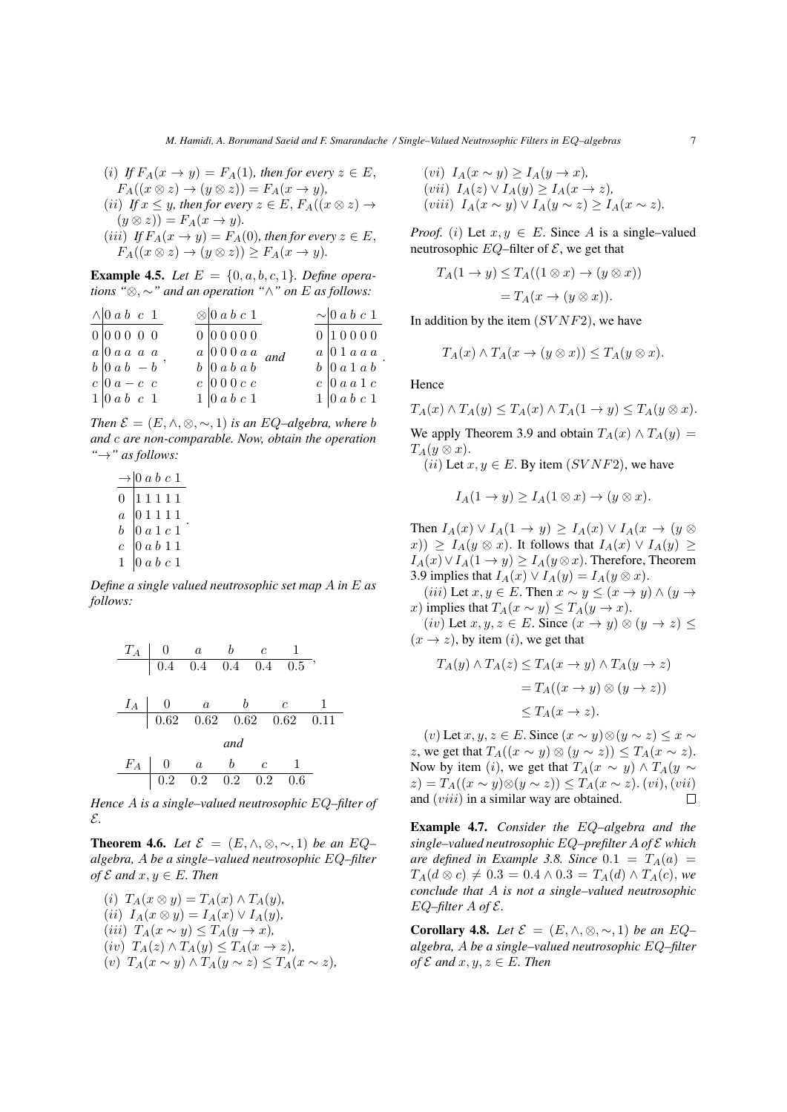\n- (i) If 
$$
F_A(x \to y) = F_A(1)
$$
, then for every  $z \in E$ ,  $F_A((x \otimes z) \to (y \otimes z)) = F_A(x \to y)$ ,
\n- (ii) If  $x \leq y$ , then for every  $z \in E$ ,  $F_A((x \otimes z) \to (y \otimes z)) = F_A(x \to y)$ .
\n- (iii) If  $F_A(x \to y) = F_A(0)$ , then for every  $z \in E$ ,  $F_A((x \otimes z) \to (y \otimes z)) \geq F_A(x \to y)$ .
\n

**Example 4.5.** *Let*  $E = \{0, a, b, c, 1\}$ *. Define operations "*⊗, ∼*" and an operation "*∧*" on* E *as follows:*

| $\wedge$ 0 a b c 1                               | $\otimes$ 0 a b c 1                                                                |  | $\sim$ 0 a b c 1                            |
|--------------------------------------------------|------------------------------------------------------------------------------------|--|---------------------------------------------|
| 0 00000                                          | 000000                                                                             |  | 0 10000                                     |
| $a \vert 0 a a a a$                              |                                                                                    |  | $a \vert 0 1 a a a$                         |
| $b \begin{vmatrix} 0 & a & b & -b \end{vmatrix}$ | $\begin{array}{c cc}\na & 0 & 0 & 0 & a & a \\ b & 0 & a & b & a & b\n\end{array}$ |  | $b \vert 0 \vert a \vert 1 \vert a \vert b$ |
| $c \mid 0 \mid a - c \mid c$                     | $c \mid 000c$                                                                      |  | $c \vert 0$ a a 1 c                         |
| $1 \vert 0 \, a \, b \, c \, 1$                  | $1 \vert 0 \vert a \vert b \vert c \vert 1$                                        |  | $1 \vert 0 \, a \, b \, c \, 1$             |

*Then*  $\mathcal{E} = (E, \wedge, \otimes, \sim, 1)$  *is an EQ–algebra, where b and* c *are non-comparable. Now, obtain the operation "*→*" as follows:*

|                | $\rightarrow 0$ a b c 1                                                                                          |  |
|----------------|------------------------------------------------------------------------------------------------------------------|--|
| $\overline{0}$ | $\begin{array}{c} 1\ 1\ 1\ 1\ 1 \\ 0\ 1\ 1\ 1\ 1 \\ 0\ a\ 1\ c\ 1 \\ 0\ a\ b\ 1\ 1 \\ 0\ a\ b\ c\ 1 \end{array}$ |  |
| $\overline{a}$ |                                                                                                                  |  |
| $\bar{b}$      |                                                                                                                  |  |
| $\overline{c}$ |                                                                                                                  |  |
| 1              |                                                                                                                  |  |

*Define a single valued neutrosophic set map* A *in* E *as follows:*



*Hence* A *is a single–valued neutrosophic* EQ*–filter of* E*.*

**Theorem 4.6.** *Let*  $\mathcal{E} = (E, \wedge, \otimes, \sim, 1)$  *be an*  $EQ$ – *algebra,* A *be a single–valued neutrosophic* EQ*–filter of*  $\mathcal{E}$  *and*  $x, y \in E$ *. Then* 

(i) 
$$
T_A(x \otimes y) = T_A(x) \wedge T_A(y)
$$
,  
\n(ii)  $I_A(x \otimes y) = I_A(x) \vee I_A(y)$ ,  
\n(iii)  $T_A(x \sim y) \le T_A(y \to x)$ ,  
\n(iv)  $T_A(z) \wedge T_A(y) \le T_A(x \to z)$ ,  
\n(v)  $T_A(x \sim y) \wedge T_A(y \sim z) \le T_A(x \sim z)$ ,

(vi) 
$$
I_A(x \sim y) \ge I_A(y \to x)
$$
,  
(vii)  $I_A(z) \vee I_A(y) \ge I_A(x \to z)$ ,  
(viii)  $I_A(x \sim y) \vee I_A(y \sim z) \ge I_A(x \sim z)$ .

*Proof.* (i) Let  $x, y \in E$ . Since A is a single–valued neutrosophic  $EQ$ –filter of  $\mathcal{E}$ , we get that

$$
T_A(1 \to y) \le T_A((1 \otimes x) \to (y \otimes x))
$$
  
=  $T_A(x \to (y \otimes x)).$ 

In addition by the item  $(SVNF2)$ , we have

$$
T_A(x) \wedge T_A(x \to (y \otimes x)) \le T_A(y \otimes x).
$$

Hence

$$
T_A(x) \wedge T_A(y) \le T_A(x) \wedge T_A(1 \to y) \le T_A(y \otimes x).
$$

We apply Theorem 3.9 and obtain  $T_A(x) \wedge T_A(y) =$  $T_A(y \otimes x).$ 

(*ii*) Let  $x, y \in E$ . By item (*SVNF2*), we have

$$
I_A(1 \to y) \ge I_A(1 \otimes x) \to (y \otimes x).
$$

Then  $I_A(x) \vee I_A(1 \rightarrow y) \geq I_A(x) \vee I_A(x \rightarrow (y \otimes$  $(x)$ )  $\geq I_A(y \otimes x)$ . It follows that  $I_A(x) \vee I_A(y) \geq$  $I_A(x) \vee I_A(1 \to y) \geq I_A(y \otimes x)$ . Therefore, Theorem 3.9 implies that  $I_A(x) \vee I_A(y) = I_A(y \otimes x)$ .

(iii) Let  $x, y \in E$ . Then  $x \sim y \leq (x \to y) \land (y \to z)$ x) implies that  $T_A(x \sim y) \leq T_A(y \to x)$ .

(iv) Let  $x, y, z \in E$ . Since  $(x \to y) \otimes (y \to z) \leq$  $(x \rightarrow z)$ , by item  $(i)$ , we get that

$$
T_A(y) \wedge T_A(z) \le T_A(x \to y) \wedge T_A(y \to z)
$$
  
=  $T_A((x \to y) \otimes (y \to z))$   
 $\le T_A(x \to z).$ 

(v) Let  $x, y, z \in E$ . Since  $(x \sim y) \otimes (y \sim z) \leq x \sim$ z, we get that  $T_A((x \sim y) \otimes (y \sim z)) \leq T_A(x \sim z)$ . Now by item (i), we get that  $T_A(x \sim y) \land T_A(y \sim y)$  $(z) = T_A((x \sim y) \otimes (y \sim z)) \leq T_A(x \sim z)$ . (vi), (vii) and  $(viii)$  in a similar way are obtained.  $\Box$ 

Example 4.7. *Consider the* EQ*–algebra and the single–valued neutrosophic* EQ*–prefilter* A *of* E *which are defined in Example 3.8. Since*  $0.1 = T_A(a)$  $T_A(d \otimes c) \neq 0.3 = 0.4 \wedge 0.3 = T_A(d) \wedge T_A(c)$ , we *conclude that* A *is not a single–valued neutrosophic* EQ*–filter* A *of* E*.*

**Corollary 4.8.** *Let*  $\mathcal{E} = (E, \wedge, \otimes, \sim, 1)$  *be an*  $EQ$ – *algebra,* A *be a single–valued neutrosophic* EQ*–filter of*  $\mathcal E$  *and*  $x, y, z \in E$ *. Then*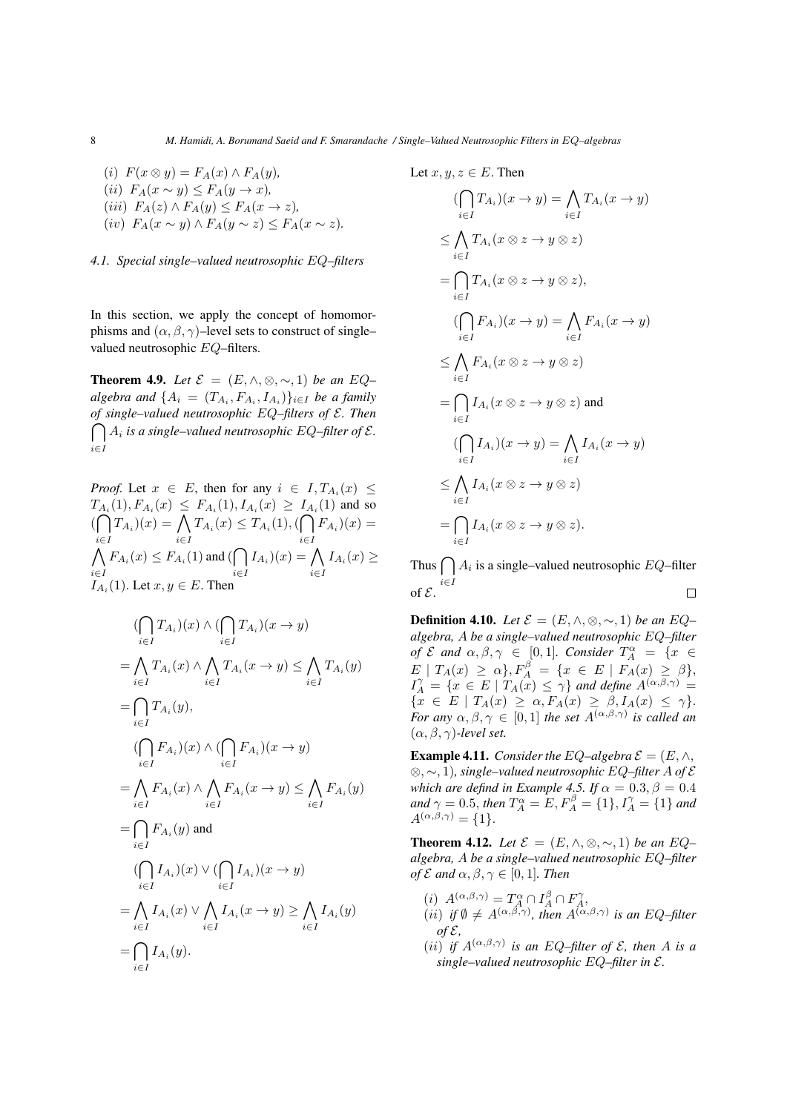(i)  $F(x \otimes y) = F_A(x) \wedge F_A(y)$ , (ii)  $F_A(x \sim y) \leq F_A(y \to x)$ , (iii)  $F_A(z) \wedge F_A(y) \leq F_A(x \to z)$ , (iv)  $F_A(x \sim y) \wedge F_A(y \sim z) \leq F_A(x \sim z)$ .

### *4.1. Special single–valued neutrosophic* EQ*–filters*

In this section, we apply the concept of homomorphisms and  $(\alpha, \beta, \gamma)$ –level sets to construct of single– valued neutrosophic EQ–filters.

**Theorem 4.9.** *Let*  $\mathcal{E} = (E, \wedge, \otimes, \sim, 1)$  *be an*  $EQ$ –  $algebra$  and  $\{A_i = (T_{A_i}, F_{A_i}, I_{A_i})\}_{i \in I}$  *be a family of single–valued neutrosophic* EQ*–filters of* E*. Then*  $\bigcap A_i$  is a single–valued neutrosophic EQ–filter of  $\mathcal{E}.$ i∈I

*Proof.* Let 
$$
x \in E
$$
, then for any  $i \in I$ ,  $T_{A_i}(x) \le T_{A_i}(1)$ ,  $F_{A_i}(x) \le F_{A_i}(1)$ ,  $I_{A_i}(x) \ge I_{A_i}(1)$  and so  $(\bigcap_{i \in I} T_{A_i})(x) = \bigcap_{i \in I} T_{A_i}(x) \le T_{A_i}(1)$ ,  $(\bigcap_{i \in I} F_{A_i})(x) = \bigcap_{i \in I} F_{A_i}(x) \le F_{A_i}(1)$  and  $(\bigcap_{i \in I} I_{A_i})(x) = \bigcap_{i \in I} I_{A_i}(x) \ge$   
 $I_{A_i}(1)$ . Let  $x, y \in E$ . Then

$$
\left(\bigcap_{i\in I} T_{A_i}\right)(x) \land \left(\bigcap_{i\in I} T_{A_i}\right)(x \to y)
$$
\n
$$
= \bigwedge_{i\in I} T_{A_i}(x) \land \bigwedge_{i\in I} T_{A_i}(x \to y) \le \bigwedge_{i\in I} T_{A_i}(y)
$$
\n
$$
= \bigcap_{i\in I} T_{A_i}(y),
$$
\n
$$
\left(\bigcap_{i\in I} F_{A_i}\right)(x) \land \left(\bigcap_{i\in I} F_{A_i}\right)(x \to y)
$$
\n
$$
= \bigwedge_{i\in I} F_{A_i}(x) \land \bigwedge_{i\in I} F_{A_i}(x \to y) \le \bigwedge_{i\in I} F_{A_i}(y)
$$
\n
$$
= \bigcap_{i\in I} F_{A_i}(y) \text{ and}
$$
\n
$$
\left(\bigcap_{i\in I} I_{A_i}\right)(x) \lor \left(\bigcap_{i\in I} I_{A_i}\right)(x \to y)
$$
\n
$$
= \bigwedge_{i\in I} I_{A_i}(x) \lor \bigwedge_{i\in I} I_{A_i}(x \to y) \ge \bigwedge_{i\in I} I_{A_i}(y)
$$
\n
$$
= \bigcap_{i\in I} I_{A_i}(y).
$$

Let 
$$
x, y, z \in E
$$
. Then

$$
(\bigcap_{i \in I} T_{A_i})(x \to y) = \bigwedge_{i \in I} T_{A_i}(x \to y)
$$
  
\n
$$
\leq \bigwedge_{i \in I} T_{A_i}(x \otimes z \to y \otimes z)
$$
  
\n
$$
= \bigcap_{i \in I} T_{A_i}(x \otimes z \to y \otimes z),
$$
  
\n
$$
(\bigcap_{i \in I} F_{A_i})(x \to y) = \bigwedge_{i \in I} F_{A_i}(x \to y)
$$
  
\n
$$
\leq \bigwedge_{i \in I} F_{A_i}(x \otimes z \to y \otimes z)
$$
  
\n
$$
= \bigcap_{i \in I} I_{A_i}(x \otimes z \to y \otimes z) \text{ and}
$$
  
\n
$$
(\bigcap_{i \in I} I_{A_i})(x \to y) = \bigwedge_{i \in I} I_{A_i}(x \to y)
$$
  
\n
$$
\leq \bigwedge_{i \in I} I_{A_i}(x \otimes z \to y \otimes z)
$$
  
\n
$$
= \bigcap_{i \in I} I_{A_i}(x \otimes z \to y \otimes z).
$$

Thus  $\bigcap A_i$  is a single–valued neutrosophic EQ–filter of  $\mathcal{E}$ .<sup>*i*∈I</sup>  $\Box$ 

**Definition 4.10.** *Let*  $\mathcal{E} = (E, \wedge, \otimes, \sim, 1)$  *be an EQ*– *algebra,* A *be a single–valued neutrosophic* EQ*–filter of*  $\mathcal{E}$  and  $\alpha, \beta, \gamma \in [0, 1]$ *. Consider*  $T_A^{\alpha} = \{x \in$  $E \mid T_A(x) \ge \alpha\}, F_A^{\beta} = \{x \in E \mid F_A(x) \ge \beta\},$  $I_A^{\gamma} = \{x \in E \mid T_A(x) \leq \gamma\}$  *and define*  $A^{(\alpha,\beta,\gamma)} =$  ${x \in E \mid T_A(x) \geq \alpha, F_A(x) \geq \beta, I_A(x) \leq \gamma}.$ *For any*  $\alpha, \beta, \gamma \in [0, 1]$  *the set*  $A^{(\alpha, \beta, \gamma)}$  *is called an*  $(\alpha, \beta, \gamma)$ *-level set.* 

**Example 4.11.** *Consider the* EQ–algebra  $\mathcal{E} = (E, \wedge,$ ⊗, ∼, 1)*, single–valued neutrosophic* EQ*–filter* A *of* E *which are defind in Example 4.5. If*  $\alpha = 0.3$ ,  $\beta = 0.4$ *and*  $\gamma = 0.5$ , *then*  $T_A^{\alpha} = E$ ,  $F_A^{\beta} = \{1\}$ ,  $I_A^{\gamma} = \{1\}$  *and*  $A^{(\alpha,\beta,\gamma)} = \{1\}.$ 

**Theorem 4.12.** *Let*  $\mathcal{E} = (E, \wedge, \otimes, \sim, 1)$  *be an*  $EQ$ – *algebra,* A *be a single–valued neutrosophic* EQ*–filter of*  $\mathcal{E}$  *and*  $\alpha, \beta, \gamma \in [0, 1]$ *. Then* 

- (i)  $A^{(\alpha,\beta,\gamma)} = T_A^{\alpha} \cap I_A^{\beta} \cap F_A^{\gamma}$ (*ii*) *if*  $\emptyset \neq A^{(\alpha,\beta,\gamma)}$ , then  $A^{(\alpha,\beta,\gamma)}$  is an EQ-filter  $of \mathcal{E}$
- (*ii*) *if*  $A^{(\alpha,\beta,\gamma)}$  *is an EQ–filter of*  $\mathcal{E}$ *, then* A *is a single–valued neutrosophic* EQ*–filter in* E*.*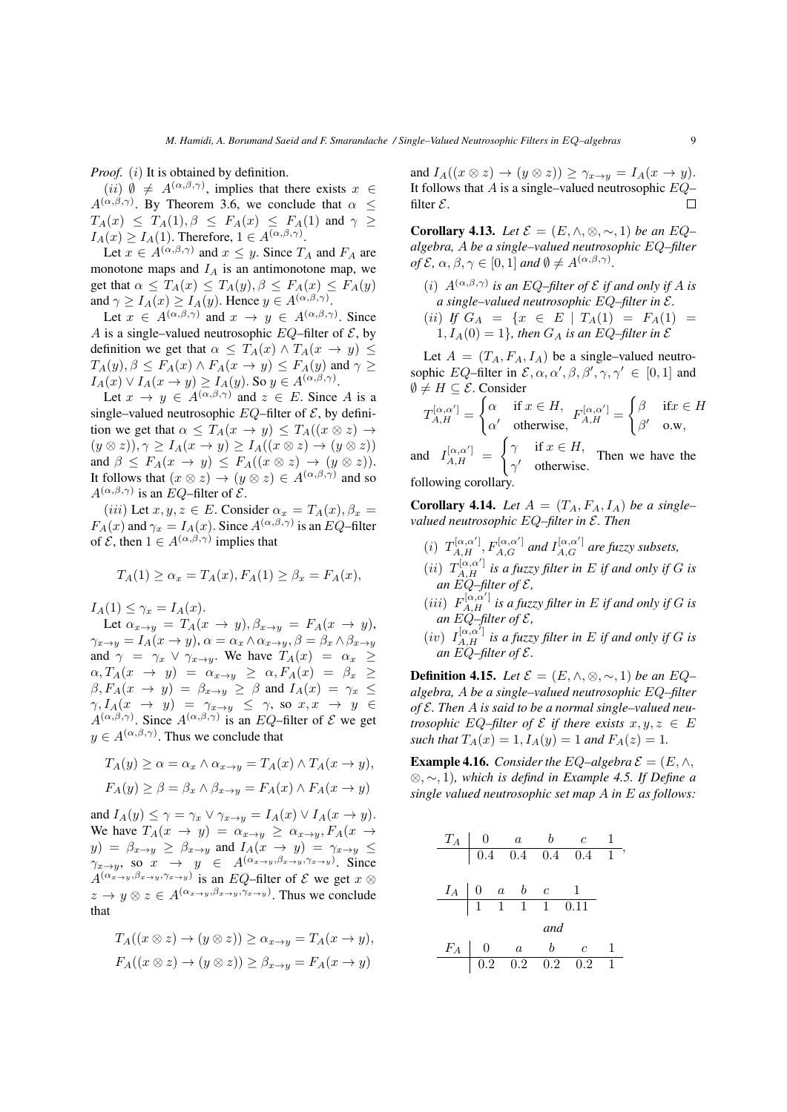*Proof.* (*i*) It is obtained by definition.

(*ii*)  $\emptyset \neq A^{(\alpha,\beta,\gamma)}$ , implies that there exists  $x \in$  $A^{(\alpha,\beta,\gamma)}$ . By Theorem 3.6, we conclude that  $\alpha \leq$  $T_A(x) \leq T_A(1), \beta \leq F_A(x) \leq F_A(1)$  and  $\gamma \geq$  $I_A(x) \geq I_A(1)$ . Therefore,  $1 \in A^{(\alpha,\beta,\gamma)}$ .

Let  $x \in A^{(\alpha,\beta,\gamma)}$  and  $x \leq y$ . Since  $T_A$  and  $F_A$  are monotone maps and  $I_A$  is an antimonotone map, we get that  $\alpha \leq T_A(x) \leq T_A(y), \beta \leq F_A(x) \leq F_A(y)$ and  $\gamma \ge I_A(x) \ge I_A(y)$ . Hence  $y \in A^{(\alpha,\beta,\gamma)}$ .

Let  $x \in A^{(\alpha,\beta,\gamma)}$  and  $x \to y \in A^{(\alpha,\beta,\gamma)}$ . Since A is a single–valued neutrosophic  $EQ$ –filter of  $\mathcal{E}$ , by definition we get that  $\alpha \leq T_A(x) \wedge T_A(x \to y) \leq$  $T_A(y), \beta \le F_A(x) \wedge F_A(x \to y) \le F_A(y)$  and  $\gamma \ge$  $I_A(x) \vee I_A(x \to y) \ge I_A(y)$ . So  $y \in A^{(\alpha,\beta,\gamma)}$ .

Let  $x \to y \in A^{(\alpha,\beta,\gamma)}$  and  $z \in E$ . Since A is a single–valued neutrosophic  $EQ$ –filter of  $\mathcal{E}$ , by definition we get that  $\alpha \leq T_A(x \to y) \leq T_A((x \otimes z) \to$  $(y \otimes z)$ ,  $\gamma \geq I_A(x \to y) \geq I_A((x \otimes z) \to (y \otimes z))$ and  $\beta \leq F_A(x \to y) \leq F_A((x \otimes z) \to (y \otimes z)).$ It follows that  $(x \otimes z) \rightarrow (y \otimes z) \in A^{(\alpha,\beta,\gamma)}$  and so  $A^{(\alpha,\beta,\gamma)}$  is an EQ–filter of  $\mathcal{E}$ .

(iii) Let  $x, y, z \in E$ . Consider  $\alpha_x = T_A(x), \beta_x =$  $F_A(x)$  and  $\gamma_x = I_A(x)$ . Since  $A^{(\alpha,\beta,\gamma)}$  is an EQ-filter of  $\mathcal{E}$ , then  $1 \in A^{(\alpha,\beta,\gamma)}$  implies that

$$
T_A(1) \ge \alpha_x = T_A(x), F_A(1) \ge \beta_x = F_A(x),
$$

 $I_A(1) \leq \gamma_x = I_A(x)$ .

Let  $\alpha_{x\to y} = T_A(x \to y), \beta_{x\to y} = F_A(x \to y),$  $\gamma_{x\to y} = I_A(x \to y), \alpha = \alpha_x \wedge \alpha_{x\to y}, \beta = \beta_x \wedge \beta_{x\to y}$ and  $\gamma = \gamma_x \vee \gamma_{x \to y}$ . We have  $T_A(x) = \alpha_x \ge$  $\alpha, T_A(x \rightarrow y) = \alpha_{x \rightarrow y} \geq \alpha, F_A(x) = \beta_x$  $\beta$ ,  $F_A(x \to y) = \beta_{x \to y} \ge \beta$  and  $I_A(x) = \gamma_x \le$  $\gamma, I_A(x \rightarrow y) = \gamma_{x \rightarrow y} \leq \gamma$ , so  $x, x \rightarrow y \in$  $A^{(\alpha,\beta,\gamma)}$ . Since  $A^{(\alpha,\beta,\gamma)}$  is an EQ-filter of  $\mathcal E$  we get  $y \in A^{(\alpha,\beta,\gamma)}$ . Thus we conclude that

$$
T_A(y) \ge \alpha = \alpha_x \wedge \alpha_{x \to y} = T_A(x) \wedge T_A(x \to y),
$$
  

$$
F_A(y) \ge \beta = \beta_x \wedge \beta_{x \to y} = F_A(x) \wedge F_A(x \to y)
$$

and  $I_A(y) \leq \gamma = \gamma_x \vee \gamma_{x \to y} = I_A(x) \vee I_A(x \to y)$ . We have  $T_A(x \to y) = \alpha_{x \to y} \geq \alpha_{x \to y} F_A(x \to y)$  $y$ ) =  $\beta_{x\to y} \geq \beta_{x\to y}$  and  $I_A(x \to y) = \gamma_{x\to y} \leq$  $\gamma_{x\to y}$ , so  $x \to y \in A^{(\alpha_{x\to y}, \beta_{x\to y}, \gamma_{x\to y})}$ . Since  $A^{(\alpha_{x\rightarrow y},\beta_{x\rightarrow y},\gamma_{x\rightarrow y})}$  is an EQ–filter of  $\mathcal E$  we get  $x\otimes$  $z \to y \otimes z \in A^{(\alpha_{x \to y}, \beta_{x \to y}, \gamma_{x \to y})}$ . Thus we conclude that

$$
T_A((x \otimes z) \to (y \otimes z)) \ge \alpha_{x \to y} = T_A(x \to y),
$$
  

$$
F_A((x \otimes z) \to (y \otimes z)) \ge \beta_{x \to y} = F_A(x \to y)
$$

and  $I_A((x \otimes z) \to (y \otimes z)) \geq \gamma_{x \to y} = I_A(x \to y)$ . It follows that  $A$  is a single–valued neutrosophic  $EQ \Box$ filter  $\mathcal{E}$ .

**Corollary 4.13.** *Let*  $\mathcal{E} = (E, \wedge, \otimes, \sim, 1)$  *be an*  $EQ$ – *algebra,* A *be a single–valued neutrosophic* EQ*–filter of*  $\mathcal{E}, \alpha, \beta, \gamma \in [0, 1]$  *and*  $\emptyset \neq A^{(\alpha, \beta, \gamma)}$ *.* 

(*i*)  $A^{(\alpha,\beta,\gamma)}$  *is an EQ–filter of*  $\mathcal E$  *if and only if*  $A$  *is a single–valued neutrosophic* EQ*–filter in* E*.*

(*ii*) *If*  $G_A = \{x \in E \mid T_A(1) = F_A(1) = \cdots \}$  $1, I_A(0) = 1$ , then  $G_A$  is an EQ–filter in  $\mathcal E$ 

Let  $A = (T_A, F_A, I_A)$  be a single–valued neutrosophic EQ-filter in  $\mathcal{E}, \alpha, \alpha', \beta, \beta', \gamma, \gamma' \in [0, 1]$  and  $\emptyset \neq H \subseteq \mathcal{E}$ . Consider

$$
T_{A,H}^{[\alpha,\alpha']} = \begin{cases} \alpha & \text{if } x \in H, \\ \alpha' & \text{otherwise,} \end{cases} F_{A,H}^{[\alpha,\alpha']} = \begin{cases} \beta & \text{if } x \in H, \\ \beta' & \text{o.w,} \end{cases}
$$

and  $I_{A,H}^{[\alpha,\alpha']}$  =  $\gamma'$  otherwise. Then we have the following corollary.

**Corollary 4.14.** Let  $A = (T_A, F_A, I_A)$  be a single*valued neutrosophic* EQ*–filter in* E*. Then*

- (i)  $T_{A,H}^{[\alpha,\alpha']}$ ,  $F_{A,G}^{[\alpha,\alpha']}$  and  $I_{A,G}^{[\alpha,\alpha']}$  are fuzzy subsets,
- (*ii*)  $T_{A,H}^{[\alpha,\alpha']}$  *is a fuzzy filter in* E *if and only if* G *is an* EQ*–filter of* E*,*
- (*iii*)  $F_{A,H}^{[\alpha,\alpha']}$  *is a fuzzy filter in* E *if and only if* G *is* an  $EQ$ –filter of  $E$ ,
- (*iv*)  $I_{A,H}^{[\alpha,\alpha']}$  *is a fuzzy filter in* E *if and only if* G *is an*  $EQ$ –*filter of*  $\mathcal{E}$ *.*

**Definition 4.15.** *Let*  $\mathcal{E} = (E, \wedge, \otimes, \sim, 1)$  *be an*  $EQ$ – *algebra,* A *be a single–valued neutrosophic* EQ*–filter of* E*. Then* A *is said to be a normal single–valued neutrosophic* EQ–filter of  $\mathcal E$  *if there exists*  $x, y, z \in E$ *such that*  $T_A(x) = 1, I_A(y) = 1$  *and*  $F_A(z) = 1$ *.* 

**Example 4.16.** *Consider the* EQ–algebra  $\mathcal{E} = (E, \wedge, \mathcal{E})$ ⊗, ∼, 1)*, which is defind in Example 4.5. If Define a single valued neutrosophic set map* A *in* E *as follows:*

| $T_A$ | 0   | a   | b   | c    | 1 |
|-------|-----|-----|-----|------|---|
| 0.4   | 0.4 | 0.4 | 0.4 | 0.4  | 1 |
| $I_A$ | 0   | a   | b   | c    | 1 |
| 1     | 1   | 1   | 1   | 0.11 |   |

\n

| $F_A$ | 0   | a   | b   | c   | 1 |
|-------|-----|-----|-----|-----|---|
| 0.2   | 0.2 | 0.2 | 0.2 | 0.2 | 1 |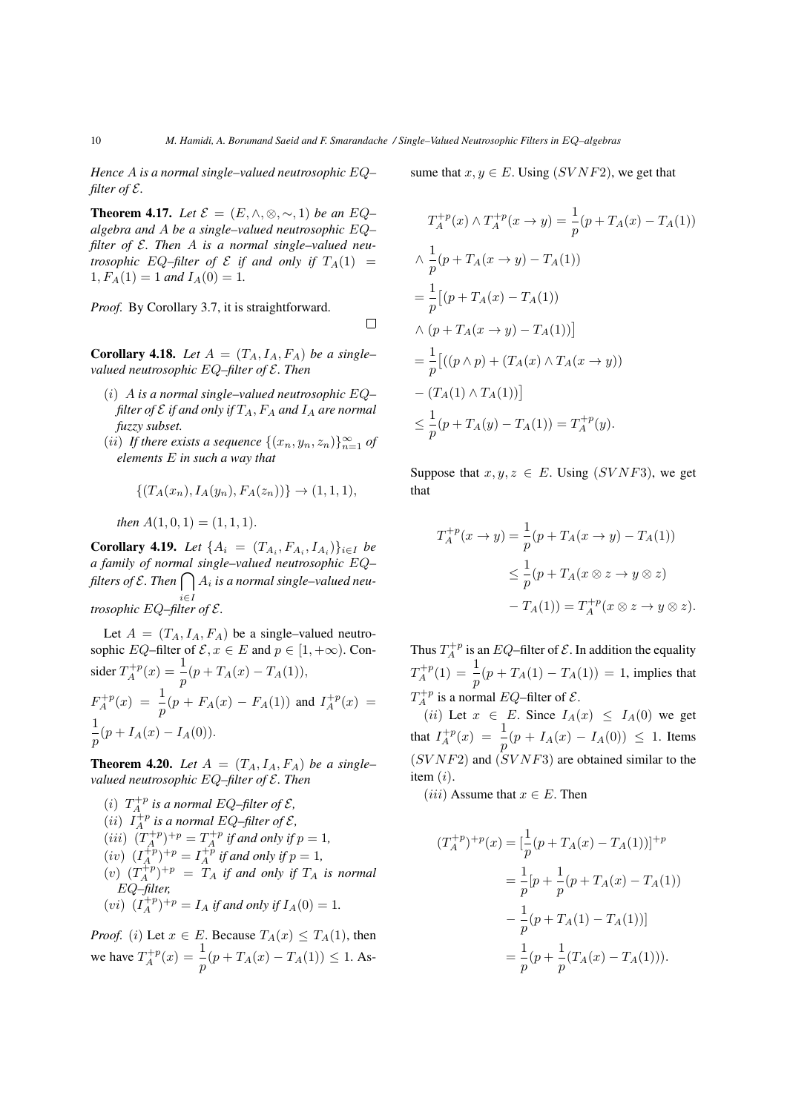*Hence* A *is a normal single–valued neutrosophic* EQ*– filter of*  $\mathcal{E}$ *.* 

**Theorem 4.17.** *Let*  $\mathcal{E} = (E, \wedge, \otimes, \sim, 1)$  *be an*  $EQ$ – *algebra and* A *be a single–valued neutrosophic* EQ*– filter of* E*. Then* A *is a normal single–valued neutrosophic* EQ–filter of  $\mathcal E$  *if and only if*  $T_A(1)$  =  $1, F_A(1) = 1$  and  $I_A(0) = 1$ .

*Proof.* By Corollary 3.7, it is straightforward.

 $\Box$ 

**Corollary 4.18.** Let  $A = (T_A, I_A, F_A)$  be a single*valued neutrosophic* EQ*–filter of* E*. Then*

- (i) A *is a normal single–valued neutrosophic* EQ*– filter of*  $\mathcal E$  *if and only if*  $T_A$ ,  $F_A$  *and*  $I_A$  *are normal fuzzy subset.*
- $(ii)$  *If there exists a sequence*  $\{(x_n, y_n, z_n)\}_{n=1}^{\infty}$  *of elements* E *in such a way that*

$$
\{(T_A(x_n), I_A(y_n), F_A(z_n))\} \to (1, 1, 1),
$$

*then*  $A(1, 0, 1) = (1, 1, 1)$ .

**Corollary 4.19.** *Let*  $\{A_i = (T_{A_i}, F_{A_i}, I_{A_i})\}_{i \in I}$  *be a family of normal single–valued neutrosophic* EQ*–* filters of E .Then  $\bigcap A_i$  is a normal single–valued neui∈I *trosophic* EQ*–filter of* E*.*

Let  $A = (T_A, I_A, F_A)$  be a single–valued neutrosophic EQ–filter of  $\mathcal{E}, x \in E$  and  $p \in [1, +\infty)$ . Consider  $T_A^{+p}(x) = \frac{1}{p}(p + T_A(x) - T_A(1)),$  $F_A^{+p}(x) = \frac{1}{p}(p + F_A(x) - F_A(1))$  and  $I_A^{+p}(x) =$ 1  $\frac{1}{p}(p+I_A(x)-I_A(0)).$ 

**Theorem 4.20.** Let  $A = (T_A, I_A, F_A)$  be a single*valued neutrosophic* EQ*–filter of* E*. Then*

(*i*)  $T_A^{+p}$  is a normal EQ–filter of  $\mathcal{E}$ , (*ii*)  $I_A^{+p}$  is a normal EQ–filter of  $\mathcal{E}$ , (*iii*)  $(T_A^{+p})^{+p} = T_A^{+p}$  *if and only if*  $p = 1$ ,  $(iv)$   $(I_A^{+p})^{+p} = I_A^{+p}$  *if and only if*  $p = 1$ *,*  $(v)$   $(T_A^{+p})^{+p} = T_A$  *if and only if*  $T_A$  *is normal* EQ*–filter,* (*vi*)  $(I_A^{+p})^{+p} = I_A$  *if and only if*  $I_A(0) = 1$ *.* 

*Proof.* (i) Let  $x \in E$ . Because  $T_A(x) \leq T_A(1)$ , then we have  $T_A^{+p}(x) = \frac{1}{p}(p + T_A(x) - T_A(1)) \le 1$ . Assume that  $x, y \in E$ . Using  $(SVNF2)$ , we get that

$$
T_A^{+p}(x) \wedge T_A^{+p}(x \to y) = \frac{1}{p}(p + T_A(x) - T_A(1))
$$
  
\n
$$
\wedge \frac{1}{p}(p + T_A(x \to y) - T_A(1))
$$
  
\n
$$
= \frac{1}{p}[(p + T_A(x) - T_A(1))]
$$
  
\n
$$
\wedge (p + T_A(x \to y) - T_A(1))]
$$
  
\n
$$
= \frac{1}{p}[((p \wedge p) + (T_A(x) \wedge T_A(x \to y))
$$
  
\n
$$
- (T_A(1) \wedge T_A(1))]
$$
  
\n
$$
\leq \frac{1}{p}(p + T_A(y) - T_A(1)) = T_A^{+p}(y).
$$

Suppose that  $x, y, z \in E$ . Using (SVNF3), we get that

$$
T_A^{+p}(x \to y) = \frac{1}{p}(p + T_A(x \to y) - T_A(1))
$$
  
\n
$$
\leq \frac{1}{p}(p + T_A(x \otimes z \to y \otimes z))
$$
  
\n
$$
-T_A(1)) = T_A^{+p}(x \otimes z \to y \otimes z).
$$

Thus  $T_A^{+p}$  is an  $EQ$ -filter of  $\mathcal E$ . In addition the equality  $T_A^{+p}(1) = \frac{1}{p}(p + T_A(1) - T_A(1)) = 1$ , implies that  $T_A^{+p}$  is a normal EQ–filter of  $\mathcal{E}$ .

(ii) Let  $x \in E$ . Since  $I_A(x) \leq I_A(0)$  we get that  $I_A^{+p}(x) = \frac{1}{p}(p + I_A(x) - I_A(0)) \leq 1$ . Items  $(SVNF2)$  and  $(SVNF3)$  are obtained similar to the item  $(i)$ .

(*iii*) Assume that  $x \in E$ . Then

$$
(T_A^{+p})^{+p}(x) = \left[\frac{1}{p}(p + T_A(x) - T_A(1))\right]^{+p}
$$
  
=  $\frac{1}{p}[p + \frac{1}{p}(p + T_A(x) - T_A(1))]$   
 $-\frac{1}{p}(p + T_A(1) - T_A(1))]$   
=  $\frac{1}{p}(p + \frac{1}{p}(T_A(x) - T_A(1))).$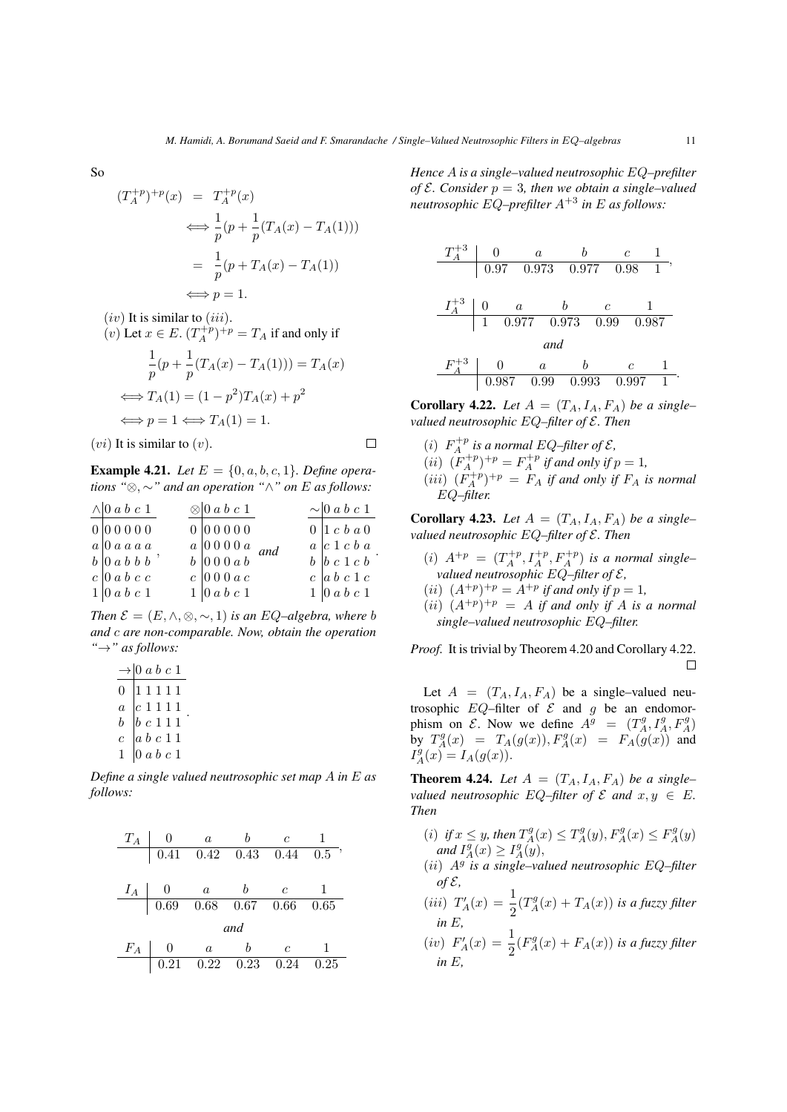So

$$
(T_A^{+p})^{+p}(x) = T_A^{+p}(x)
$$
  
\n
$$
\iff \frac{1}{p}(p + \frac{1}{p}(T_A(x) - T_A(1)))
$$
  
\n
$$
= \frac{1}{p}(p + T_A(x) - T_A(1))
$$
  
\n
$$
\iff p = 1.
$$

 $(iv)$  It is similar to  $(iii)$ .

(v) Let 
$$
x \in E
$$
.  $(T_A^{+p})^{+p} = T_A$  if and only if  
\n
$$
\frac{1}{p}(p + \frac{1}{p}(T_A(x) - T_A(1))) = T_A(x)
$$
\n
$$
\iff T_A(1) = (1 - p^2)T_A(x) + p^2
$$
\n
$$
\iff p = 1 \iff T_A(1) = 1.
$$

 $(vi)$  It is similar to  $(v)$ .

$$
\Box
$$

**Example 4.21.** *Let*  $E = \{0, a, b, c, 1\}$ *. Define operations "*⊗, ∼*" and an operation "*∧*" on* E *as follows:*

| $\wedge$ 0 a b c 1                                | $\otimes$ 0 a b c 1                                                                  |  | $\sim$ 0 a b c 1                            |
|---------------------------------------------------|--------------------------------------------------------------------------------------|--|---------------------------------------------|
| 000000                                            | 000000                                                                               |  | $0 \vert 1 \; c \; b \; a \; 0$             |
| $a \vert 0 a a a a$                               | $\begin{array}{c cc} a & 0 & 0 & 0 & 0 & a \\ b & 0 & 0 & 0 & a & b \end{array}$ and |  | $a \vert c \vert 1 \vert c \vert b \vert a$ |
| $b \vert 0 \vert a \vert b \vert b \vert b \vert$ |                                                                                      |  | $b \,   b \, c \, 1 \, c \, b$              |
| $c \vert 0 \vert a \vert b \vert c \vert c$       | $c \mid 0 0 0 a c$                                                                   |  | $c \vert a \vert b \vert c \vert 1 \vert c$ |
| 1 0ab c 1                                         | $1 \vert 0 \, a \, b \, c \, 1$                                                      |  | $1 \vert 0 \vert a \vert b \vert c \vert 1$ |

*Then*  $\mathcal{E} = (E, \wedge, \otimes, \sim, 1)$  *is an EQ–algebra, where b and* c *are non-comparable. Now, obtain the operation "*→*" as follows:*

|                | $\rightarrow 0$ a b c 1                                                                                                                              |  |
|----------------|------------------------------------------------------------------------------------------------------------------------------------------------------|--|
| $\overline{0}$ | $\begin{array}{c} 1\; 1\; 1\; 1\; 1\\ c\; 1\; 1\; 1\; 1\\ b\; c\; 1\; 1\; 1\\ a\; b\; c\; 1\; 1\\ a\; b\; c\; 1\; 1\\ 0\; a\; b\; c\; 1 \end{array}$ |  |
| $\overline{a}$ |                                                                                                                                                      |  |
| $\bar{b}$      |                                                                                                                                                      |  |
| $\overline{c}$ |                                                                                                                                                      |  |
| 1              |                                                                                                                                                      |  |

*Define a single valued neutrosophic set map* A *in* E *as follows:*



*Hence* A *is a single–valued neutrosophic* EQ*–prefilter of*  $\mathcal{E}$ *. Consider*  $p = 3$ *, then we obtain a single–valued neutrosophic* EQ*–prefilter* A+3 *in* E *as follows:*

$$
\begin{array}{c|cccc} T_A^{+3} & 0 & a & b & c & 1 \\ \hline & 0.97 & 0.973 & 0.977 & 0.98 & 1 \\ \end{array},
$$
\n
$$
\begin{array}{c|cccc} I_A^{+3} & 0 & a & b & c & 1 \\ \hline & 1 & 0.977 & 0.973 & 0.99 & 0.987 \\ \end{array}
$$
\n
$$
\begin{array}{c|cccc} H_A^{+3} & 0 & a & b & c & 1 \\ \hline & 0.987 & 0.99 & 0.993 & 0.997 & 1 \\ \end{array}
$$

**Corollary 4.22.** Let  $A = (T_A, I_A, F_A)$  be a single*valued neutrosophic* EQ*–filter of* E*. Then*

(*i*)  $F_A^{+p}$  is a normal EQ–filter of  $\mathcal{E}$ , (*ii*)  $(F_A^{+p})^{+p} = F_A^{+p}$  *if and only if*  $p = 1$ ,  $(iii)$   $(F_A^{+p})^{+p} = F_A$  *if and only if*  $F_A$  *is normal* EQ*–filter.*

**Corollary 4.23.** Let  $A = (T_A, I_A, F_A)$  be a single*valued neutrosophic* EQ*–filter of* E*. Then*

- (*i*)  $A^{+p} = (T_A^{+p}, I_A^{+p}, F_A^{+p})$  *is a normal singlevalued neutrosophic* EQ*–filter of* E*,*
- (*ii*)  $(A^{+p})^{+p} = A^{+p}$  *if and only if*  $p = 1$ *,*
- $(ii)$   $(A^{+p})^{+p} = A$  *if and only if* A *is a normal single–valued neutrosophic* EQ*–filter.*

*Proof.* It is trivial by Theorem 4.20 and Corollary 4.22.  $\Box$ 

Let  $A = (T_A, I_A, F_A)$  be a single–valued neutrosophic  $EQ$ –filter of  $E$  and  $g$  be an endomorphism on  $\mathcal{E}$ . Now we define  $A^g = (T_A^g, I_A^g, F_A^g)$ by  $T_A^g(x) = T_A(g(x)), F_A^g(x) = F_A(g(x))$  and  $I_A^g(x) = I_A(g(x)).$ 

**Theorem 4.24.** Let  $A = (T_A, I_A, F_A)$  be a single*valued neutrosophic*  $EQ$ –filter of  $\mathcal E$  and  $x, y \in E$ . *Then*

- (i) if  $x \leq y$ , then  $T_A^g(x) \leq T_A^g(y)$ ,  $F_A^g(x) \leq F_A^g(y)$ *and*  $I_A^g(x) \geq I_A^g(y)$ ,
- (ii) A<sup>g</sup> *is a single–valued neutrosophic* EQ*–filter of* E*,*
- (*iii*)  $T'_{A}(x) = \frac{1}{2}(T^{g}_{A}(x) + T_{A}(x))$  *is a fuzzy filter in* E*,*
- (*iv*)  $F'_{A}(x) = \frac{1}{2}(F^{g}_{A}(x) + F_{A}(x))$  *is a fuzzy filter in* E*,*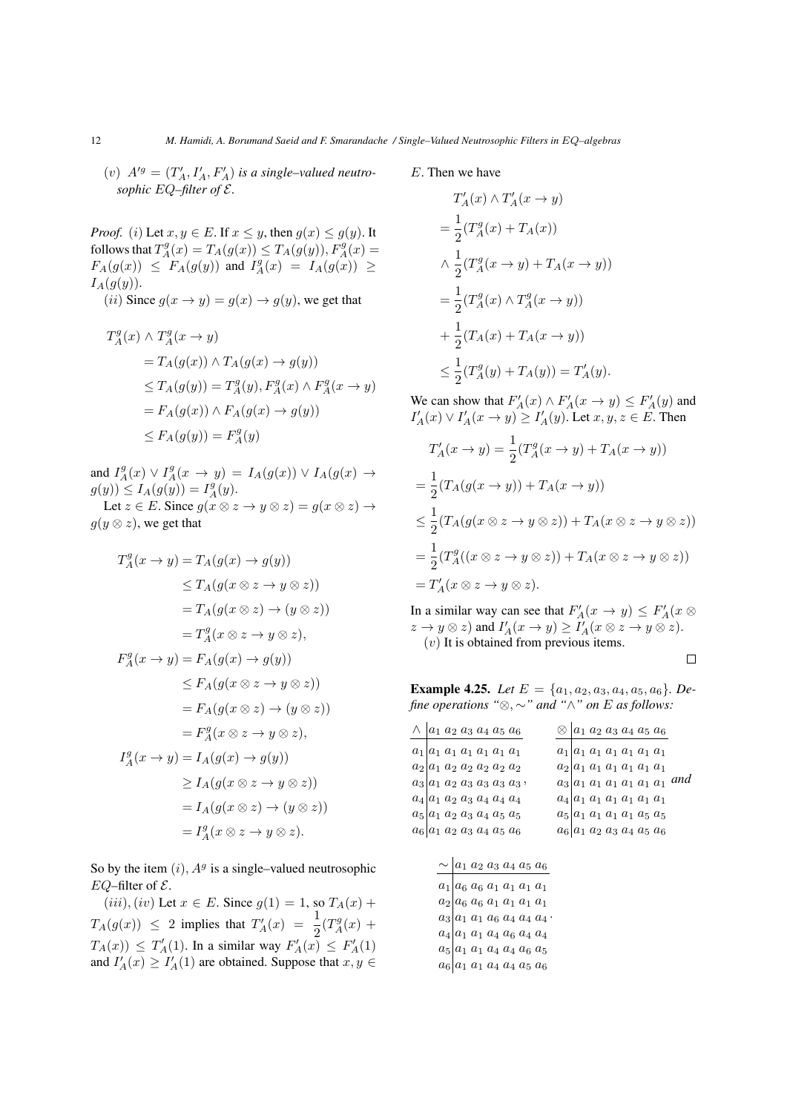(*v*)  $A'^{g} = (T'_{A}, I'_{A}, F'_{A})$  *is a single–valued neutrosophic* EQ*–filter of* E*.*

*Proof.* (i) Let  $x, y \in E$ . If  $x \leq y$ , then  $g(x) \leq g(y)$ . It follows that  $T_A^g(x) = T_A(g(x)) \leq T_A(g(y)), F_A^g(x) =$  $F_A(g(x)) \leq F_A(g(y))$  and  $I_A^g(x) = I_A(g(x)) \geq$  $I_A(g(y))$ .

(*ii*) Since  $g(x \to y) = g(x) \to g(y)$ , we get that

$$
T_A^g(x) \wedge T_A^g(x \to y)
$$
  
=  $T_A(g(x)) \wedge T_A(g(x) \to g(y))$   
 $\leq T_A(g(y)) = T_A^g(y), F_A^g(x) \wedge F_A^g(x \to y)$   
=  $F_A(g(x)) \wedge F_A(g(x) \to g(y))$   
 $\leq F_A(g(y)) = F_A^g(y)$ 

and  $I_A^g(x) \vee I_A^g(x \to y) = I_A(g(x)) \vee I_A(g(x) \to y)$  $g(y)$ )  $\leq I_A(g(y)) = I_A^g(y)$ . Let  $z \in E$ . Since  $g(x \otimes z \rightarrow y \otimes z) = g(x \otimes z) \rightarrow$ 

$$
g(y \otimes z)
$$
, we get that

$$
T_A^g(x \to y) = T_A(g(x) \to g(y))
$$
  
\n
$$
\leq T_A(g(x \otimes z \to y \otimes z))
$$
  
\n
$$
= T_A(g(x \otimes z) \to (y \otimes z))
$$
  
\n
$$
= T_A^g(x \otimes z \to y \otimes z),
$$
  
\n
$$
F_A^g(x \to y) = F_A(g(x) \to g(y))
$$
  
\n
$$
\leq F_A(g(x \otimes z \to y \otimes z))
$$
  
\n
$$
= F_A(g(x \otimes z) \to (y \otimes z))
$$
  
\n
$$
= F_A^g(x \otimes z \to y \otimes z),
$$
  
\n
$$
I_A^g(x \to y) = I_A(g(x) \to g(y))
$$
  
\n
$$
\geq I_A(g(x \otimes z \to y \otimes z))
$$
  
\n
$$
= I_A(g(x \otimes z) \to (y \otimes z))
$$
  
\n
$$
= I_A^g(x \otimes z \to y \otimes z).
$$

So by the item  $(i)$ ,  $A<sup>g</sup>$  is a single–valued neutrosophic EQ–filter of  $\mathcal{E}$ .

 $(iii), (iv)$  Let  $x \in E$ . Since  $g(1) = 1$ , so  $T_A(x)$  +  $T_A(g(x)) \leq 2$  implies that  $T'_A(x) = \frac{1}{2}(T^g_A(x) +$  $T_A(x)$ )  $\leq T'_A(1)$ . In a similar way  $F'_A(x) \leq F'_A(1)$ and  $I'_{A}(x) \geq I'_{A}(1)$  are obtained. Suppose that  $x, y \in$ 

### E. Then we have

$$
T'_A(x) \wedge T'_A(x \to y)
$$
  
=  $\frac{1}{2}(T_A^g(x) + T_A(x))$   
 $\wedge \frac{1}{2}(T_A^g(x \to y) + T_A(x \to y))$   
=  $\frac{1}{2}(T_A^g(x) \wedge T_A^g(x \to y))$   
+  $\frac{1}{2}(T_A(x) + T_A(x \to y))$   
 $\leq \frac{1}{2}(T_A^g(y) + T_A(y)) = T'_A(y).$ 

We can show that  $F'_A(x) \wedge F'_A(x \to y) \leq F'_A(y)$  and  $I'_{A}(x) \vee I'_{A}(x \rightarrow y) \geq I'_{A}(y)$ . Let  $x, y, z \in E$ . Then

$$
T'_A(x \to y) = \frac{1}{2}(T_A^g(x \to y) + T_A(x \to y))
$$
  
= 
$$
\frac{1}{2}(T_A(g(x \to y)) + T_A(x \to y))
$$
  

$$
\leq \frac{1}{2}(T_A(g(x \otimes z \to y \otimes z)) + T_A(x \otimes z \to y \otimes z))
$$
  
= 
$$
\frac{1}{2}(T_A^g((x \otimes z \to y \otimes z)) + T_A(x \otimes z \to y \otimes z))
$$
  
= 
$$
T'_A(x \otimes z \to y \otimes z).
$$

In a similar way can see that  $F'_A(x \to y) \leq F'_A(x \otimes y)$  $z \to y \otimes z$ ) and  $I'_A(x \to y) \geq I'_A(x \otimes z \to y \otimes z)$ . (v) It is obtained from previous items.  $\Box$ 

**Example 4.25.** *Let*  $E = \{a_1, a_2, a_3, a_4, a_5, a_6\}$ *. Define operations "*⊗, ∼*" and "*∧*" on* E *as follows:*

| $\wedge$ $a_1 a_2 a_3 a_4 a_5 a_6$ | $\otimes$ $\vert a_1 \, a_2 \, a_3 \, a_4 \, a_5 \, a_6 \vert$ |
|------------------------------------|----------------------------------------------------------------|
| $a_1   a_1 a_1 a_1 a_1 a_1 a_1$    | $a_1   a_1 a_1 a_1 a_1 a_1 a_1$                                |
| $a_2 a_1 a_2 a_2 a_2 a_2 a_2$      | $a_2 a_1\ a_1\ a_1\ a_1\ a_1\ a_1$                             |
| $a_3 a_1 a_2 a_3 a_3 a_3 a_3,$     | $a_3 a_1 a_1 a_1 a_1 a_1 a_1$ and                              |
| $a_4 a_1 a_2 a_3 a_4 a_4 a_4$      | $a_4 a_1\ a_1\ a_1\ a_1\ a_1\ a_1$                             |
| $a_5 a_1 a_2 a_3 a_4 a_5 a_5$      | $a_5 a_1\ a_1\ a_1\ a_1\ a_5\ a_5$                             |
| $a_6   a_1 a_2 a_3 a_4 a_5 a_6$    | $a_6 a_1 a_2 a_3 a_4 a_5 a_6$                                  |
|                                    |                                                                |

| $\sim$ $a_1 a_2 a_3 a_4 a_5 a_6$                                                                                                                                                                                                                                                                                       |
|------------------------------------------------------------------------------------------------------------------------------------------------------------------------------------------------------------------------------------------------------------------------------------------------------------------------|
|                                                                                                                                                                                                                                                                                                                        |
|                                                                                                                                                                                                                                                                                                                        |
|                                                                                                                                                                                                                                                                                                                        |
|                                                                                                                                                                                                                                                                                                                        |
|                                                                                                                                                                                                                                                                                                                        |
| $\begin{array}{l l} \hline a_1 & a_6 & a_6 & a_1 & a_1 & a_1 & a_1 \\ \hline a_2 & a_6 & a_6 & a_1 & a_1 & a_1 & a_1 \\ a_3 & a_1 & a_1 & a_6 & a_4 & a_4 & a_4 \\ a_4 & a_1 & a_1 & a_4 & a_6 & a_4 & a_4 \\ a_5 & a_1 & a_1 & a_4 & a_4 & a_5 & a_6 \\ a_6 & a_1 & a_1 & a_4 & a_4 & a_5 & a_6 \\\hline \end{array}$ |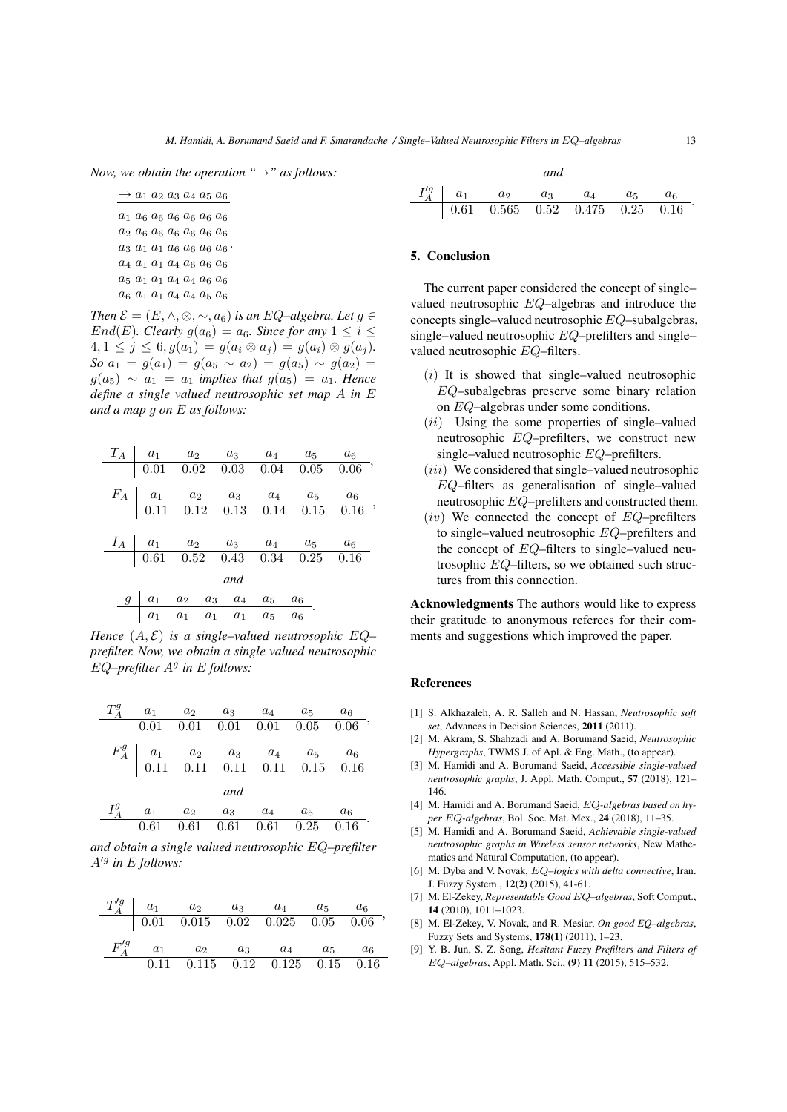*Now, we obtain the operation "*→*" as follows:*

$$
\begin{array}{r|l} \hline \to a_1 & a_2 & a_3 & a_4 & a_5 & a_6 \\ \hline a_1 & a_6 & a_6 & a_6 & a_6 & a_6 & a_6 \\ a_2 & a_6 & a_6 & a_6 & a_6 & a_6 & a_6 \\ a_3 & a_1 & a_1 & a_6 & a_6 & a_6 & a_6 \\ a_4 & a_1 & a_1 & a_4 & a_6 & a_6 & a_6 \\ a_5 & a_1 & a_1 & a_4 & a_4 & a_5 & a_6 \\ a_6 & a_1 & a_1 & a_4 & a_4 & a_5 & a_6 \end{array}
$$

*Then*  $\mathcal{E} = (E, \wedge, \otimes, \sim, a_6)$  *is an EQ–algebra. Let*  $g \in$ End(E). Clearly  $g(a_6) = a_6$ . Since for any  $1 \le i \le$  $4, 1 \leq j \leq 6, g(a_1) = g(a_i \otimes a_j) = g(a_i) \otimes g(a_j).$ *So*  $a_1 = g(a_1) = g(a_5 \sim a_2) = g(a_5) \sim g(a_2) =$  $g(a_5) \sim a_1 = a_1$  *implies that*  $g(a_5) = a_1$ *. Hence define a single valued neutrosophic set map* A *in* E *and a map* g *on* E *as follows:*

|     |  |                                                                                                                           |  |  | $T_A$   $a_1$ $a_2$ $a_3$ $a_4$ $a_5$ $a_6$                                                                                          |                                                                                                                                       |  |  |  |
|-----|--|---------------------------------------------------------------------------------------------------------------------------|--|--|--------------------------------------------------------------------------------------------------------------------------------------|---------------------------------------------------------------------------------------------------------------------------------------|--|--|--|
|     |  |                                                                                                                           |  |  |                                                                                                                                      | $\begin{array}{cccccc} 0.01 & 0.02 & 0.03 & 0.04 & 0.05 & 0.06 \end{array}$                                                           |  |  |  |
|     |  |                                                                                                                           |  |  |                                                                                                                                      | $\begin{array}{c cccccc} F_A & a_1 & a_2 & a_3 & a_4 & a_5 & a_6 \\ \hline & 0.11 & 0.12 & 0.13 & 0.14 & 0.15 & 0.16 \\ \end{array},$ |  |  |  |
|     |  |                                                                                                                           |  |  |                                                                                                                                      |                                                                                                                                       |  |  |  |
|     |  |                                                                                                                           |  |  |                                                                                                                                      |                                                                                                                                       |  |  |  |
|     |  |                                                                                                                           |  |  |                                                                                                                                      |                                                                                                                                       |  |  |  |
|     |  |                                                                                                                           |  |  | $\begin{array}{c cccccc} I_A & a_1 & a_2 & a_3 & a_4 & a_5 & a_6 \\ \hline & 0.61 & 0.52 & 0.43 & 0.34 & 0.25 & 0.16 \\ \end{array}$ |                                                                                                                                       |  |  |  |
| and |  |                                                                                                                           |  |  |                                                                                                                                      |                                                                                                                                       |  |  |  |
|     |  |                                                                                                                           |  |  |                                                                                                                                      |                                                                                                                                       |  |  |  |
|     |  | $\begin{array}{c cccccc} g & a_1 & a_2 & a_3 & a_4 & a_5 & a_6 \ \hline & a_1 & a_1 & a_1 & a_1 & a_5 & a_6 \end{array}.$ |  |  |                                                                                                                                      |                                                                                                                                       |  |  |  |

*Hence*  $(A, \mathcal{E})$  *is a single–valued neutrosophic*  $EQ$ *prefilter. Now, we obtain a single valued neutrosophic* EQ-prefilter  $A^g$  in E follows:

| $T_A^g$   $a_1$ $a_2$ $a_3$ $a_4$ $a_5$ $a_6$                                                          |     |  |       |
|--------------------------------------------------------------------------------------------------------|-----|--|-------|
| $\begin{array}{ rrrrrr} 0.01 & 0.01 & 0.01 & 0.01 & 0.05 & 0.06 \end{array}$                           |     |  |       |
| $F_A^g$ a <sub>1</sub> $a_2$ $a_3$ $a_4$ $a_5$ $a_6$                                                   |     |  |       |
| $\frac{1}{0.11}$ 0.11 0.11 0.11 0.15 0.16                                                              |     |  |       |
|                                                                                                        | and |  |       |
| $I_A^g$ $a_1$ $a_2$ $a_3$ $a_4$ $a_5$                                                                  |     |  | $a_6$ |
| $\begin{array}{ c c c c c c c c } \hline 0.61 & 0.61 & 0.61 & 0.61 & 0.25 & 0.16 \ \hline \end{array}$ |     |  |       |

*and obtain a single valued neutrosophic* EQ*–prefilter* A'<sup>g</sup> in E follows:

|  | $T_A^{'g}$   $a_1$   $a_2$   $a_3$   $a_4$   $a_5$   $a_6$                                           |  |  |
|--|------------------------------------------------------------------------------------------------------|--|--|
|  | $\begin{bmatrix} 0.01 & 0.015 & 0.02 & 0.025 & 0.05 & 0.06 \end{bmatrix}$                            |  |  |
|  | $F_A^{'g}$ a <sub>1</sub> a <sub>2</sub> a <sub>3</sub> a <sub>4</sub> a <sub>5</sub> a <sub>6</sub> |  |  |
|  | $\begin{array}{cccccc} 0.11 & 0.115 & 0.12 & 0.125 & 0.15 & 0.16 \end{array}$                        |  |  |

$$
\begin{array}{c|cccc}\n & and \\
A & a_1 & a_2 & a_3 & a_4 & a_5 & a_6 \\
\hline\n0.61 & 0.565 & 0.52 & 0.475 & 0.25 & 0.16\n\end{array}.
$$

### 5. Conclusion

 $I_A^{\prime g}$ 

The current paper considered the concept of single– valued neutrosophic EQ–algebras and introduce the concepts single–valued neutrosophic EQ–subalgebras, single–valued neutrosophic EQ–prefilters and single– valued neutrosophic EQ–filters.

- $(i)$  It is showed that single–valued neutrosophic EQ–subalgebras preserve some binary relation on EQ–algebras under some conditions.
- $(ii)$  Using the some properties of single–valued neutrosophic EQ–prefilters, we construct new single–valued neutrosophic EQ–prefilters.
- $(iii)$  We considered that single–valued neutrosophic EQ–filters as generalisation of single–valued neutrosophic EQ–prefilters and constructed them.
- $(iv)$  We connected the concept of  $EQ$ –prefilters to single–valued neutrosophic EQ–prefilters and the concept of EQ–filters to single–valued neutrosophic EQ–filters, so we obtained such structures from this connection.

Acknowledgments The authors would like to express their gratitude to anonymous referees for their comments and suggestions which improved the paper.

## References

- [1] S. Alkhazaleh, A. R. Salleh and N. Hassan, *Neutrosophic soft set*, Advances in Decision Sciences, 2011 (2011).
- [2] M. Akram, S. Shahzadi and A. Borumand Saeid, *Neutrosophic Hypergraphs*, TWMS J. of Apl. & Eng. Math., (to appear).
- [3] M. Hamidi and A. Borumand Saeid, *Accessible single-valued neutrosophic graphs*, J. Appl. Math. Comput., 57 (2018), 121– 146.
- [4] M. Hamidi and A. Borumand Saeid, EQ*-algebras based on hyper* EQ*-algebras*, Bol. Soc. Mat. Mex., 24 (2018), 11–35.
- [5] M. Hamidi and A. Borumand Saeid, *Achievable single-valued neutrosophic graphs in Wireless sensor networks*, New Mathematics and Natural Computation, (to appear).
- [6] M. Dyba and V. Novak, EQ*–logics with delta connective*, Iran. J. Fuzzy System., 12(2) (2015), 41-61.
- [7] M. El-Zekey, *Representable Good* EQ*–algebras*, Soft Comput., 14 (2010), 1011–1023.
- [8] M. El-Zekey, V. Novak, and R. Mesiar, *On good EQ–algebras*, Fuzzy Sets and Systems, 178(1) (2011), 1–23.
- [9] Y. B. Jun, S. Z. Song, *Hesitant Fuzzy Prefilters and Filters of* EQ*–algebras*, Appl. Math. Sci., (9) 11 (2015), 515–532.